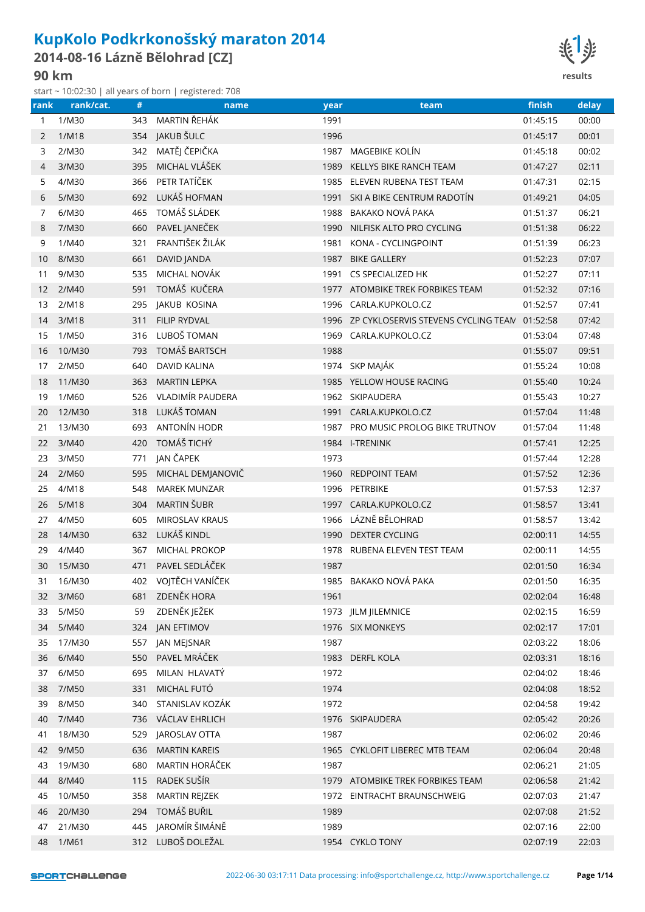## **KupKolo Podkrkonošský maraton 2014**

**2014-08-16 Lázně Bělohrad [CZ]**

start ~ 10:02:30 | all years of born | registered: 708



|      |           |     | start ~ 10.02.50   all years of born   registered. 708 |      |                                                   |          |       |
|------|-----------|-----|--------------------------------------------------------|------|---------------------------------------------------|----------|-------|
| rank | rank/cat. | #   | name                                                   | year | team                                              | finish   | delay |
| 1    | 1/M30     | 343 | MARTIN ŘEHÁK                                           | 1991 |                                                   | 01:45:15 | 00:00 |
| 2    | 1/M18     |     | 354 JAKUB ŠULC                                         | 1996 |                                                   | 01:45:17 | 00:01 |
| 3    | 2/M30     |     | 342 MATĚJ ČEPIČKA                                      |      | 1987 MAGEBIKE KOLÍN                               | 01:45:18 | 00:02 |
| 4    | 3/M30     | 395 | MICHAL VLÁŠEK                                          | 1989 | KELLYS BIKE RANCH TEAM                            | 01:47:27 | 02:11 |
| 5    | 4/M30     |     | 366 PETR TATÍČEK                                       |      | 1985 ELEVEN RUBENA TEST TEAM                      | 01:47:31 | 02:15 |
| 6    | 5/M30     | 692 | LUKÁŠ HOFMAN                                           |      | 1991 SKI A BIKE CENTRUM RADOTÍN                   | 01:49:21 | 04:05 |
| 7    | 6/M30     | 465 | TOMÁŠ SLÁDEK                                           | 1988 | BAKAKO NOVÁ PAKA                                  | 01:51:37 | 06:21 |
| 8    | 7/M30     | 660 | PAVEL JANEČEK                                          |      | 1990 NILFISK ALTO PRO CYCLING                     | 01:51:38 | 06:22 |
| 9    | 1/M40     | 321 | FRANTIŠEK ŽILÁK                                        | 1981 | KONA - CYCLINGPOINT                               | 01:51:39 | 06:23 |
| 10   | 8/M30     | 661 | DAVID JANDA                                            |      | 1987 BIKE GALLERY                                 | 01:52:23 | 07:07 |
| 11   | 9/M30     | 535 | MICHAL NOVÁK                                           |      | 1991 CS SPECIALIZED HK                            | 01:52:27 | 07:11 |
| 12   | 2/M40     | 591 | TOMÁŠ KUČERA                                           |      | 1977 ATOMBIKE TREK FORBIKES TEAM                  | 01:52:32 | 07:16 |
| 13   | 2/M18     | 295 | <b>JAKUB KOSINA</b>                                    |      | 1996 CARLA.KUPKOLO.CZ                             | 01:52:57 | 07:41 |
| 14   | 3/M18     | 311 | <b>FILIP RYDVAL</b>                                    |      | 1996 ZP CYKLOSERVIS STEVENS CYCLING TEAN 01:52:58 |          | 07:42 |
| 15   | 1/M50     | 316 | LUBOŠ TOMAN                                            |      | 1969 CARLA.KUPKOLO.CZ                             | 01:53:04 | 07:48 |
| 16   | 10/M30    |     | 793 TOMÁŠ BARTSCH                                      | 1988 |                                                   | 01:55:07 | 09:51 |
| 17   | 2/M50     | 640 | <b>DAVID KALINA</b>                                    |      | 1974 SKP MAJÁK                                    | 01:55:24 | 10:08 |
| 18   | 11/M30    | 363 | <b>MARTIN LEPKA</b>                                    |      | 1985 YELLOW HOUSE RACING                          | 01:55:40 | 10:24 |
| 19   | 1/M60     | 526 | VLADIMÍR PAUDERA                                       |      | 1962 SKIPAUDERA                                   | 01:55:43 | 10:27 |
| 20   | 12/M30    | 318 | LUKÁŠ TOMAN                                            |      | 1991 CARLA.KUPKOLO.CZ                             | 01:57:04 | 11:48 |
| 21   | 13/M30    | 693 | ANTONÍN HODR                                           |      | 1987 PRO MUSIC PROLOG BIKE TRUTNOV                | 01:57:04 | 11:48 |
| 22   | 3/M40     | 420 | TOMÁŠ TICHÝ                                            |      | 1984 I-TRENINK                                    | 01:57:41 | 12:25 |
| 23   | 3/M50     | 771 | JAN ČAPEK                                              | 1973 |                                                   | 01:57:44 | 12:28 |
| 24   | 2/M60     | 595 | MICHAL DEMJANOVIČ                                      |      | 1960 REDPOINT TEAM                                | 01:57:52 | 12:36 |
| 25   | 4/M18     | 548 | <b>MAREK MUNZAR</b>                                    |      | 1996 PETRBIKE                                     | 01:57:53 | 12:37 |
| 26   | 5/M18     | 304 | MARTIN ŠUBR                                            |      | 1997 CARLA.KUPKOLO.CZ                             | 01:58:57 | 13:41 |
| 27   | 4/M50     | 605 | <b>MIROSLAV KRAUS</b>                                  |      | 1966 LÁZNĚ BĚLOHRAD                               | 01:58:57 | 13:42 |
| 28   | 14/M30    | 632 | LUKÁŠ KINDL                                            |      | 1990 DEXTER CYCLING                               | 02:00:11 | 14:55 |
| 29   | 4/M40     | 367 | MICHAL PROKOP                                          | 1978 | RUBENA ELEVEN TEST TEAM                           | 02:00:11 | 14:55 |
| 30   | 15/M30    | 471 | PAVEL SEDLÁČEK                                         | 1987 |                                                   | 02:01:50 | 16:34 |
| 31   | 16/M30    |     | 402 VOJTĚCH VANÍČEK                                    |      | 1985 BAKAKO NOVÁ PAKA                             | 02:01:50 | 16:35 |
| 32   | 3/M60     | 681 | ZDENĚK HORA                                            | 1961 |                                                   | 02:02:04 | 16:48 |
| 33   | 5/M50     | 59  | ZDENĚK JEŽEK                                           |      | 1973 JILM JILEMNICE                               | 02:02:15 | 16:59 |
| 34   | 5/M40     | 324 | <b>JAN EFTIMOV</b>                                     |      | 1976 SIX MONKEYS                                  | 02:02:17 | 17:01 |
| 35   | 17/M30    | 557 | JAN MEJSNAR                                            | 1987 |                                                   | 02:03:22 | 18:06 |
| 36   | 6/M40     | 550 | PAVEL MRÁČEK                                           |      | 1983 DERFL KOLA                                   | 02:03:31 | 18:16 |
| 37   | 6/M50     | 695 | MILAN HLAVATÝ                                          | 1972 |                                                   | 02:04:02 | 18:46 |
| 38   | 7/M50     | 331 | MICHAL FUTÓ                                            | 1974 |                                                   | 02:04:08 | 18:52 |
| 39   | 8/M50     | 340 | STANISLAV KOZÁK                                        | 1972 |                                                   | 02:04:58 | 19:42 |
| 40   | 7/M40     | 736 | VÁCLAV EHRLICH                                         |      | 1976 SKIPAUDERA                                   | 02:05:42 | 20:26 |
| 41   | 18/M30    | 529 | JAROSLAV OTTA                                          | 1987 |                                                   | 02:06:02 | 20:46 |
| 42   | 9/M50     | 636 | <b>MARTIN KAREIS</b>                                   |      | 1965 CYKLOFIT LIBEREC MTB TEAM                    | 02:06:04 | 20:48 |
| 43   | 19/M30    | 680 | MARTIN HORÁČEK                                         | 1987 |                                                   | 02:06:21 | 21:05 |
| 44   | 8/M40     | 115 | RADEK SUŠÍR                                            |      | 1979 ATOMBIKE TREK FORBIKES TEAM                  | 02:06:58 | 21:42 |
| 45   | 10/M50    | 358 | MARTIN REJZEK                                          |      | 1972 EINTRACHT BRAUNSCHWEIG                       | 02:07:03 | 21:47 |
| 46   | 20/M30    |     | 294 TOMÁŠ BUŘIL                                        | 1989 |                                                   | 02:07:08 | 21:52 |
| 47   | 21/M30    | 445 | JAROMÍR ŠIMÁNĚ                                         | 1989 |                                                   | 02:07:16 | 22:00 |
| 48   | 1/M61     |     | 312 LUBOŠ DOLEŽAL                                      |      | 1954 CYKLO TONY                                   | 02:07:19 | 22:03 |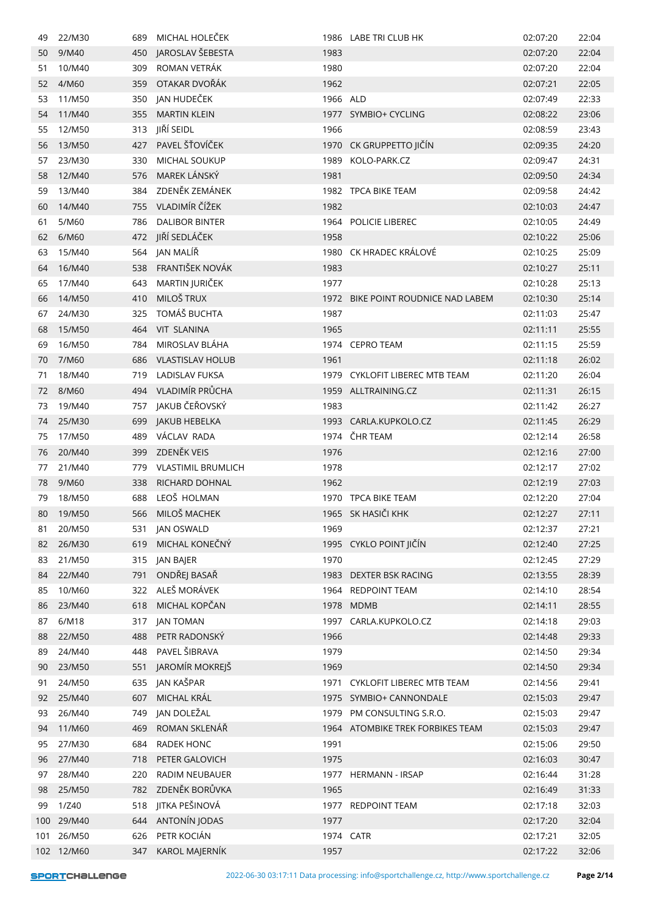| 49  | 22/M30     | 689 | MICHAL HOLECEK            |          | 1986 LABE TRI CLUB HK            | 02:07:20 | 22:04 |
|-----|------------|-----|---------------------------|----------|----------------------------------|----------|-------|
| 50  | 9/M40      | 450 | JAROSLAV ŠEBESTA          | 1983     |                                  | 02:07:20 | 22:04 |
| 51  | 10/M40     | 309 | ROMAN VETRÁK              | 1980     |                                  | 02:07:20 | 22:04 |
| 52  | 4/M60      | 359 | OTAKAR DVOŘÁK             | 1962     |                                  | 02:07:21 | 22:05 |
| 53  | 11/M50     |     | 350 JAN HUDEČEK           | 1966 ALD |                                  | 02:07:49 | 22:33 |
| 54  | 11/M40     | 355 | <b>MARTIN KLEIN</b>       |          | 1977 SYMBIO+ CYCLING             | 02:08:22 | 23:06 |
| 55  | 12/M50     | 313 | JIŘÍ SEIDL                | 1966     |                                  | 02:08:59 | 23:43 |
| 56  | 13/M50     | 427 | PAVEL ŠŤOVÍČEK            | 1970     | CK GRUPPETTO JIČÍN               | 02:09:35 | 24:20 |
| 57  | 23/M30     | 330 | <b>MICHAL SOUKUP</b>      | 1989     | KOLO-PARK.CZ                     | 02:09:47 | 24:31 |
| 58  | 12/M40     | 576 | MAREK LÁNSKÝ              | 1981     |                                  | 02:09:50 | 24:34 |
| 59  | 13/M40     | 384 | ZDENĚK ZEMÁNEK            |          | 1982 TPCA BIKE TEAM              | 02:09:58 | 24:42 |
| 60  | 14/M40     | 755 | VLADIMÍR ČÍŽEK            | 1982     |                                  | 02:10:03 | 24:47 |
| 61  | 5/M60      | 786 | <b>DALIBOR BINTER</b>     |          | 1964 POLICIE LIBEREC             | 02:10:05 | 24:49 |
| 62  | 6/M60      | 472 | JIŘÍ SEDLÁČEK             | 1958     |                                  | 02:10:22 | 25:06 |
| 63  | 15/M40     |     | 564 JAN MALÍŘ             |          | 1980 CK HRADEC KRÁLOVÉ           | 02:10:25 | 25:09 |
| 64  | 16/M40     | 538 | FRANTIŠEK NOVÁK           | 1983     |                                  | 02:10:27 | 25:11 |
| 65  | 17/M40     | 643 | MARTIN JURIČEK            | 1977     |                                  | 02:10:28 | 25:13 |
| 66  | 14/M50     | 410 | MILOŠ TRUX                | 1972     | BIKE POINT ROUDNICE NAD LABEM    | 02:10:30 | 25:14 |
| 67  | 24/M30     | 325 | TOMÁŠ BUCHTA              | 1987     |                                  | 02:11:03 | 25:47 |
| 68  | 15/M50     |     | 464 VIT SLANINA           | 1965     |                                  | 02:11:11 | 25:55 |
| 69  | 16/M50     | 784 | MIROSLAV BLÁHA            |          | 1974 CEPRO TEAM                  | 02:11:15 | 25:59 |
| 70  | 7/M60      | 686 | <b>VLASTISLAV HOLUB</b>   | 1961     |                                  | 02:11:18 | 26:02 |
| 71  | 18/M40     | 719 | <b>LADISLAV FUKSA</b>     |          | 1979 CYKLOFIT LIBEREC MTB TEAM   | 02:11:20 | 26:04 |
| 72  | 8/M60      |     | 494 VLADIMÍR PRŮCHA       |          | 1959 ALLTRAINING.CZ              | 02:11:31 | 26:15 |
| 73  | 19/M40     |     | 757 JAKUB ČEŘOVSKÝ        | 1983     |                                  | 02:11:42 | 26:27 |
| 74  | 25/M30     | 699 | JAKUB HEBELKA             |          | 1993 CARLA.KUPKOLO.CZ            | 02:11:45 | 26:29 |
| 75  | 17/M50     | 489 | VÁCLAV RADA               |          | 1974 ČHR TEAM                    | 02:12:14 | 26:58 |
| 76  | 20/M40     | 399 | ZDENĚK VEIS               | 1976     |                                  | 02:12:16 | 27:00 |
| 77  | 21/M40     | 779 | <b>VLASTIMIL BRUMLICH</b> | 1978     |                                  | 02:12:17 | 27:02 |
| 78  | 9/M60      | 338 | RICHARD DOHNAL            | 1962     |                                  | 02:12:19 | 27:03 |
| 79  | 18/M50     | 688 | LEOŠ HOLMAN               |          | 1970 TPCA BIKE TEAM              | 02:12:20 | 27:04 |
| 80  | 19/M50     | 566 | MILOŠ MACHEK              |          | 1965 SK HASIČI KHK               | 02:12:27 | 27:11 |
| 81  | 20/M50     | 531 | JAN OSWALD                | 1969     |                                  | 02:12:37 | 27:21 |
| 82  | 26/M30     | 619 | MICHAL KONEČNÝ            | 1995     | CYKLO POINT JIČÍN                | 02:12:40 | 27:25 |
| 83  | 21/M50     | 315 | JAN BAJER                 | 1970     |                                  | 02:12:45 | 27:29 |
| 84  | 22/M40     | 791 | ONDŘEJ BASAŘ              | 1983     | DEXTER BSK RACING                | 02:13:55 | 28:39 |
| 85  | 10/M60     | 322 | ALEŠ MORÁVEK              | 1964     | <b>REDPOINT TEAM</b>             | 02:14:10 | 28:54 |
| 86  | 23/M40     | 618 | MICHAL KOPČAN             |          | 1978 MDMB                        | 02:14:11 | 28:55 |
| 87  | 6/M18      | 317 | <b>JAN TOMAN</b>          |          | 1997 CARLA.KUPKOLO.CZ            | 02:14:18 | 29:03 |
| 88  | 22/M50     | 488 | PETR RADONSKÝ             | 1966     |                                  | 02:14:48 | 29:33 |
| 89  | 24/M40     | 448 | PAVEL ŠIBRAVA             | 1979     |                                  | 02:14:50 | 29:34 |
| 90  | 23/M50     | 551 | JAROMÍR MOKREJŠ           | 1969     |                                  | 02:14:50 | 29:34 |
| 91  | 24/M50     | 635 | JAN KAŠPAR                | 1971     | CYKLOFIT LIBEREC MTB TEAM        | 02:14:56 | 29:41 |
| 92  | 25/M40     | 607 | MICHAL KRÁL               | 1975     | SYMBIO+ CANNONDALE               | 02:15:03 | 29:47 |
| 93  | 26/M40     | 749 | JAN DOLEŽAL               | 1979     | PM CONSULTING S.R.O.             | 02:15:03 | 29:47 |
| 94  | 11/M60     | 469 | ROMAN SKLENÁŘ             |          | 1964 ATOMBIKE TREK FORBIKES TEAM | 02:15:03 | 29:47 |
| 95  | 27/M30     | 684 | RADEK HONC                | 1991     |                                  | 02:15:06 | 29:50 |
| 96  | 27/M40     | 718 | PETER GALOVICH            | 1975     |                                  | 02:16:03 | 30:47 |
| 97  | 28/M40     | 220 | RADIM NEUBAUER            |          | 1977 HERMANN - IRSAP             | 02:16:44 | 31:28 |
| 98  | 25/M50     | 782 | ZDENĚK BORŮVKA            | 1965     |                                  | 02:16:49 | 31:33 |
| 99  | 1/Z40      | 518 | JITKA PEŠINOVÁ            | 1977     | <b>REDPOINT TEAM</b>             | 02:17:18 | 32:03 |
| 100 | 29/M40     | 644 | ANTONÍN JODAS             | 1977     |                                  | 02:17:20 | 32:04 |
| 101 | 26/M50     | 626 | PETR KOCIÁN               |          | 1974 CATR                        | 02:17:21 | 32:05 |
|     | 102 12/M60 | 347 | KAROL MAJERNÍK            | 1957     |                                  | 02:17:22 | 32:06 |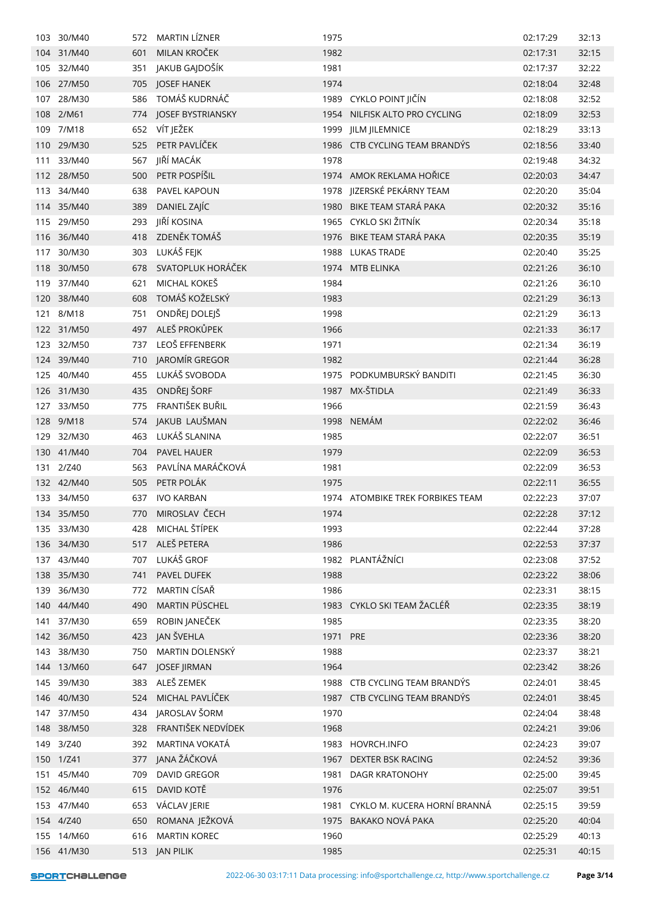| 103 | 30/M40     | 572. | <b>MARTIN LIZNER</b>  | 1975     |                                   | 02:17:29 | 32:13 |
|-----|------------|------|-----------------------|----------|-----------------------------------|----------|-------|
| 104 | 31/M40     | 601  | MILAN KROČEK          | 1982     |                                   | 02:17:31 | 32:15 |
| 105 | 32/M40     | 351  | JAKUB GAJDOŠÍK        | 1981     |                                   | 02:17:37 | 32:22 |
| 106 | 27/M50     | 705  | <b>JOSEF HANEK</b>    | 1974     |                                   | 02:18:04 | 32:48 |
| 107 | 28/M30     | 586  | TOMÁŠ KUDRNÁČ         |          | 1989 CYKLO POINT JIČÍN            | 02:18:08 | 32:52 |
| 108 | 2/M61      | 774  | JOSEF BYSTRIANSKY     |          | 1954 NILFISK ALTO PRO CYCLING     | 02:18:09 | 32:53 |
| 109 | 7/M18      | 652  | VÍT JEŽEK             | 1999     | <b>JILM JILEMNICE</b>             | 02:18:29 | 33:13 |
| 110 | 29/M30     | 525  | PETR PAVLÍČEK         |          | 1986 CTB CYCLING TEAM BRANDYS     | 02:18:56 | 33:40 |
| 111 | 33/M40     | 567  | JIŘÍ MACÁK            | 1978     |                                   | 02:19:48 | 34:32 |
| 112 | 28/M50     | 500  | PETR POSPÍŠIL         |          | 1974 AMOK REKLAMA HOŘICE          | 02:20:03 | 34:47 |
| 113 | 34/M40     | 638  | PAVEL KAPOUN          |          | 1978 JIZERSKÉ PEKÁRNY TEAM        | 02:20:20 | 35:04 |
| 114 | 35/M40     | 389  | DANIEL ZAJÍC          | 1980     | BIKE TEAM STARÁ PAKA              | 02:20:32 | 35:16 |
| 115 | 29/M50     | 293  | JIŘÍ KOSINA           |          | 1965 CYKLO SKI ŽITNÍK             | 02:20:34 | 35:18 |
| 116 | 36/M40     | 418  | ZDENĚK TOMÁŠ          | 1976     | BIKE TEAM STARÁ PAKA              | 02:20:35 | 35:19 |
| 117 | 30/M30     | 303  | LUKÁŠ FEJK            | 1988     | <b>LUKAS TRADE</b>                | 02:20:40 | 35:25 |
| 118 | 30/M50     | 678  | SVATOPLUK HORÁČEK     |          | 1974 MTB ELINKA                   | 02:21:26 | 36:10 |
| 119 | 37/M40     | 621  | MICHAL KOKEŠ          | 1984     |                                   | 02:21:26 | 36:10 |
| 120 | 38/M40     | 608  | TOMÁŠ KOŽELSKÝ        | 1983     |                                   | 02:21:29 | 36:13 |
| 121 | 8/M18      | 751  | ONDŘEJ DOLEJŠ         | 1998     |                                   | 02:21:29 | 36:13 |
|     | 122 31/M50 | 497  | ALEŠ PROKŮPEK         | 1966     |                                   | 02:21:33 | 36:17 |
| 123 | 32/M50     | 737  | LEOŠ EFFENBERK        | 1971     |                                   | 02:21:34 | 36:19 |
| 124 | 39/M40     | 710  | JAROMÍR GREGOR        | 1982     |                                   | 02:21:44 | 36:28 |
| 125 | 40/M40     | 455  | LUKÁŠ SVOBODA         |          | 1975 PODKUMBURSKÝ BANDITI         | 02:21:45 | 36:30 |
|     | 126 31/M30 | 435  | ONDŘEJ ŠORF           |          | 1987 MX-ŠTIDLA                    | 02:21:49 | 36:33 |
| 127 | 33/M50     | 775  | FRANTIŠEK BUŘIL       | 1966     |                                   | 02:21:59 | 36:43 |
| 128 | 9/M18      | 574  | JAKUB LAUŠMAN         |          | 1998 NEMÁM                        | 02:22:02 | 36:46 |
| 129 | 32/M30     | 463  | LUKÁŠ SLANINA         | 1985     |                                   | 02:22:07 | 36:51 |
| 130 | 41/M40     | 704  | PAVEL HAUER           | 1979     |                                   | 02:22:09 | 36:53 |
| 131 | 2/Z40      | 563  | PAVLÍNA MARÁČKOVÁ     | 1981     |                                   | 02:22:09 | 36:53 |
|     | 132 42/M40 | 505  | PETR POLÁK            | 1975     |                                   | 02:22:11 | 36:55 |
| 133 | 34/M50     | 637  | <b>IVO KARBAN</b>     |          | 1974 ATOMBIKE TREK FORBIKES TEAM  | 02:22:23 | 37:07 |
|     | 134 35/M50 | 770  | MIROSLAV ČECH         | 1974     |                                   | 02:22:28 | 37:12 |
|     | 135 33/M30 | 428  | MICHAL ŠTÍPEK         | 1993     |                                   | 02:22:44 | 37:28 |
|     | 136 34/M30 | 517  | ALEŠ PETERA           | 1986     |                                   | 02:22:53 | 37:37 |
|     | 137 43/M40 | 707  | LUKÁŠ GROF            |          | 1982 PLANTÁŽNÍCI                  | 02:23:08 | 37:52 |
|     | 138 35/M30 | 741  | PAVEL DUFEK           | 1988     |                                   | 02:23:22 | 38:06 |
| 139 | 36/M30     | 772  | MARTIN CÍSAŘ          | 1986     |                                   | 02:23:31 | 38:15 |
|     | 140 44/M40 | 490  | <b>MARTIN PÜSCHEL</b> |          | 1983 CYKLO SKI TEAM ŽACLÉŘ        | 02:23:35 | 38:19 |
| 141 | 37/M30     | 659  | ROBIN JANEČEK         | 1985     |                                   | 02:23:35 | 38:20 |
|     | 142 36/M50 | 423  | JAN ŠVEHLA            | 1971 PRE |                                   | 02:23:36 | 38:20 |
| 143 | 38/M30     | 750  | MARTIN DOLENSKÝ       | 1988     |                                   | 02:23:37 | 38:21 |
|     | 144 13/M60 | 647  | JOSEF JIRMAN          | 1964     |                                   | 02:23:42 | 38:26 |
| 145 | 39/M30     | 383  | ALEŠ ZEMEK            |          | 1988 CTB CYCLING TEAM BRANDYS     | 02:24:01 | 38:45 |
|     | 146 40/M30 | 524  | MICHAL PAVLÍČEK       |          | 1987 CTB CYCLING TEAM BRANDÝS     | 02:24:01 | 38:45 |
| 147 | 37/M50     | 434  | JAROSLAV ŠORM         | 1970     |                                   | 02:24:04 | 38:48 |
|     | 148 38/M50 | 328  | FRANTIŠEK NEDVÍDEK    | 1968     |                                   | 02:24:21 | 39:06 |
|     | 149 3/Z40  | 392  | MARTINA VOKATÁ        |          | 1983 HOVRCH.INFO                  | 02:24:23 | 39:07 |
|     | 150 1/Z41  | 377  | JANA ŽÁČKOVÁ          | 1967     | DEXTER BSK RACING                 | 02:24:52 | 39:36 |
| 151 | 45/M40     | 709  | <b>DAVID GREGOR</b>   | 1981     | DAGR KRATONOHY                    | 02:25:00 | 39:45 |
|     | 152 46/M40 | 615  | DAVID KOTĚ            | 1976     |                                   | 02:25:07 | 39:51 |
| 153 | 47/M40     | 653  | VÁCLAV JERIE          |          | 1981 CYKLO M. KUCERA HORNÍ BRANNÁ | 02:25:15 | 39:59 |
|     | 154 4/Z40  | 650  | ROMANA JEŽKOVÁ        |          | 1975 BAKAKO NOVÁ PAKA             | 02:25:20 | 40:04 |
|     | 155 14/M60 | 616  | <b>MARTIN KOREC</b>   | 1960     |                                   | 02:25:29 | 40:13 |
|     | 156 41/M30 |      | 513 JAN PILIK         | 1985     |                                   | 02:25:31 | 40:15 |
|     |            |      |                       |          |                                   |          |       |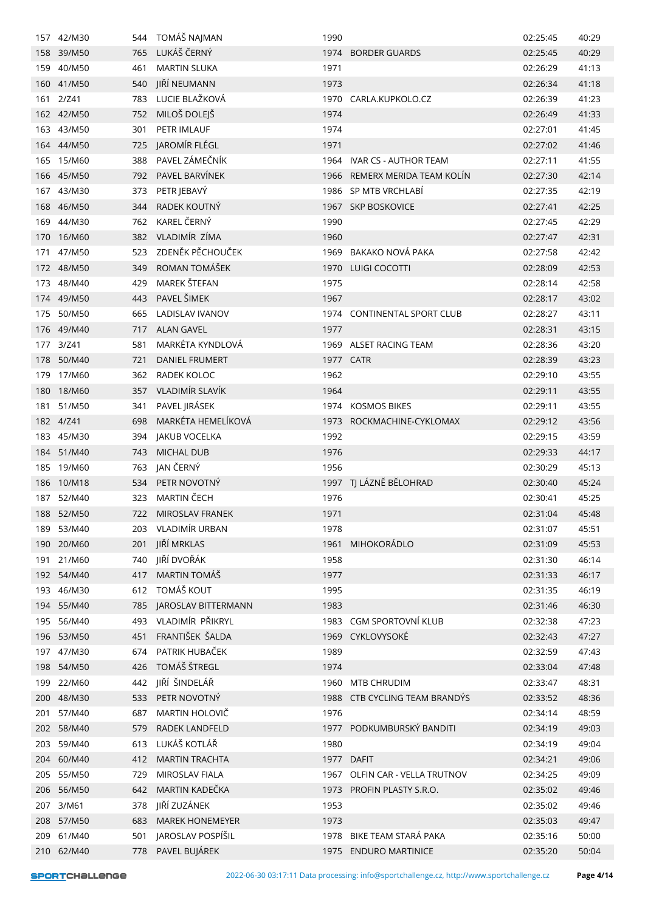| 157 | 42/M30     | 544 | TOMÁŠ NAJMAN           | 1990      |                               | 02:25:45 | 40:29 |
|-----|------------|-----|------------------------|-----------|-------------------------------|----------|-------|
|     | 158 39/M50 | 765 | LUKÁŠ ČERNÝ            |           | 1974 BORDER GUARDS            | 02:25:45 | 40:29 |
|     | 159 40/M50 | 461 | <b>MARTIN SLUKA</b>    | 1971      |                               | 02:26:29 | 41:13 |
|     | 160 41/M50 | 540 | JIŘÍ NEUMANN           | 1973      |                               | 02:26:34 | 41:18 |
|     | 161 2/Z41  | 783 | LUCIE BLAŽKOVÁ         |           | 1970 CARLA.KUPKOLO.CZ         | 02:26:39 | 41:23 |
|     | 162 42/M50 | 752 | MILOŠ DOLEJŠ           | 1974      |                               | 02:26:49 | 41:33 |
|     | 163 43/M50 | 301 | PETR IMLAUF            | 1974      |                               | 02:27:01 | 41:45 |
|     | 164 44/M50 | 725 | JAROMÍR FLÉGL          | 1971      |                               | 02:27:02 | 41:46 |
| 165 | 15/M60     | 388 | PAVEL ZÁMEČNÍK         |           | 1964 IVAR CS - AUTHOR TEAM    | 02:27:11 | 41:55 |
|     | 166 45/M50 | 792 | PAVEL BARVÍNEK         |           | 1966 REMERX MERIDA TEAM KOLÍN | 02:27:30 | 42:14 |
|     | 167 43/M30 | 373 | PETR JEBAVÝ            |           | 1986 SP MTB VRCHLABÍ          | 02:27:35 | 42:19 |
| 168 | 46/M50     | 344 | RADEK KOUTNÝ           |           | 1967 SKP BOSKOVICE            | 02:27:41 | 42:25 |
|     | 169 44/M30 | 762 | KAREL ČERNÝ            | 1990      |                               | 02:27:45 | 42:29 |
| 170 | 16/M60     | 382 | VLADIMÍR ZÍMA          | 1960      |                               | 02:27:47 | 42:31 |
| 171 | 47/M50     | 523 | ZDENĚK PĚCHOUČEK       | 1969      | BAKAKO NOVÁ PAKA              | 02:27:58 | 42:42 |
|     | 172 48/M50 | 349 | ROMAN TOMÁŠEK          |           | 1970 LUIGI COCOTTI            | 02:28:09 | 42:53 |
|     | 173 48/M40 | 429 | MAREK ŠTEFAN           | 1975      |                               | 02:28:14 | 42:58 |
|     | 174 49/M50 | 443 | PAVEL ŠIMEK            | 1967      |                               | 02:28:17 | 43:02 |
| 175 | 50/M50     | 665 | <b>LADISLAV IVANOV</b> |           | 1974 CONTINENTAL SPORT CLUB   | 02:28:27 | 43:11 |
|     | 176 49/M40 | 717 | <b>ALAN GAVEL</b>      | 1977      |                               | 02:28:31 | 43:15 |
|     | 177 3/Z41  | 581 | MARKÉTA KYNDLOVÁ       |           | 1969 ALSET RACING TEAM        | 02:28:36 | 43:20 |
| 178 | 50/M40     | 721 | <b>DANIEL FRUMERT</b>  | 1977 CATR |                               | 02:28:39 | 43:23 |
| 179 | 17/M60     | 362 | RADEK KOLOC            | 1962      |                               | 02:29:10 | 43:55 |
| 180 | 18/M60     | 357 | VLADIMÍR SLAVÍK        | 1964      |                               | 02:29:11 | 43:55 |
| 181 | 51/M50     | 341 | PAVEL JIRÁSEK          |           | 1974 KOSMOS BIKES             | 02:29:11 | 43:55 |
|     | 182 4/Z41  | 698 | MARKÉTA HEMELÍKOVÁ     | 1973      | ROCKMACHINE-CYKLOMAX          | 02:29:12 | 43:56 |
|     | 183 45/M30 | 394 | JAKUB VOCELKA          | 1992      |                               | 02:29:15 | 43:59 |
|     | 184 51/M40 | 743 | <b>MICHAL DUB</b>      | 1976      |                               | 02:29:33 | 44:17 |
| 185 | 19/M60     | 763 | JAN ČERNÝ              | 1956      |                               | 02:30:29 | 45:13 |
| 186 | 10/M18     | 534 | PETR NOVOTNÝ           |           | 1997 TJ LÁZNĚ BĚLOHRAD        | 02:30:40 | 45:24 |
| 187 | 52/M40     | 323 | MARTIN ČECH            | 1976      |                               | 02:30:41 | 45:25 |
|     | 188 52/M50 | 722 | MIROSLAV FRANEK        | 1971      |                               | 02:31:04 | 45:48 |
|     | 189 53/M40 |     | 203 VLADIMÍR URBAN     | 1978      |                               | 02:31:07 | 45:51 |
|     | 190 20/M60 | 201 | JIŘÍ MRKLAS            |           | 1961 MIHOKORÁDLO              | 02:31:09 | 45:53 |
|     | 191 21/M60 | 740 | JIŘÍ DVOŘÁK            | 1958      |                               | 02:31:30 | 46:14 |
|     | 192 54/M40 | 417 | MARTIN TOMÁŠ           | 1977      |                               | 02:31:33 | 46:17 |
| 193 | 46/M30     | 612 | TOMÁŠ KOUT             | 1995      |                               | 02:31:35 | 46:19 |
|     | 194 55/M40 | 785 | JAROSLAV BITTERMANN    | 1983      |                               | 02:31:46 | 46:30 |
|     | 195 56/M40 | 493 | VLADIMÍR PŘIKRYL       |           | 1983 CGM SPORTOVNÍ KLUB       | 02:32:38 | 47:23 |
|     | 196 53/M50 | 451 | FRANTIŠEK ŠALDA        |           | 1969 CYKLOVYSOKÉ              | 02:32:43 | 47:27 |
|     | 197 47/M30 | 674 | PATRIK HUBAČEK         | 1989      |                               | 02:32:59 | 47:43 |
|     | 198 54/M50 | 426 | TOMÁŠ ŠTREGL           | 1974      |                               | 02:33:04 | 47:48 |
| 199 | 22/M60     | 442 | JIŘÍ ŠINDELÁŘ          |           | 1960 MTB CHRUDIM              | 02:33:47 | 48:31 |
|     | 200 48/M30 | 533 | PETR NOVOTNÝ           | 1988      | CTB CYCLING TEAM BRANDÝS      | 02:33:52 | 48:36 |
| 201 | 57/M40     | 687 | MARTIN HOLOVIČ         | 1976      |                               | 02:34:14 | 48:59 |
|     | 202 58/M40 | 579 | RADEK LANDFELD         |           | 1977 PODKUMBURSKÝ BANDITI     | 02:34:19 | 49:03 |
|     | 203 59/M40 | 613 | LUKÁŠ KOTLÁŘ           | 1980      |                               | 02:34:19 | 49:04 |
| 204 | 60/M40     | 412 | <b>MARTIN TRACHTA</b>  |           | 1977 DAFIT                    | 02:34:21 | 49:06 |
|     | 205 55/M50 | 729 | <b>MIROSLAV FIALA</b>  | 1967      | OLFIN CAR - VELLA TRUTNOV     | 02:34:25 | 49:09 |
|     | 206 56/M50 | 642 | MARTIN KADEČKA         |           | 1973 PROFIN PLASTY S.R.O.     | 02:35:02 | 49:46 |
|     | 207 3/M61  | 378 | JIŘÍ ZUZÁNEK           | 1953      |                               | 02:35:02 | 49:46 |
|     | 208 57/M50 | 683 | <b>MAREK HONEMEYER</b> | 1973      |                               | 02:35:03 | 49:47 |
|     | 209 61/M40 | 501 | JAROSLAV POSPÍŠIL      |           | 1978 BIKE TEAM STARÁ PAKA     | 02:35:16 | 50:00 |
|     | 210 62/M40 |     | 778 PAVEL BUJÁREK      |           | 1975 ENDURO MARTINICE         | 02:35:20 | 50:04 |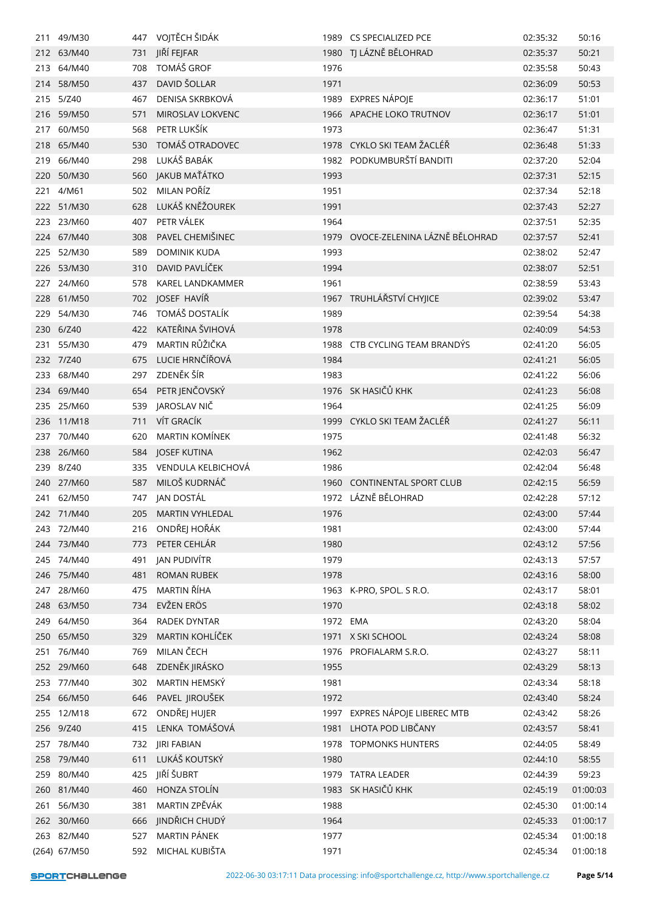|     | 211 49/M30   |     | 447 VOJTĚCH ŠIDÁK   |          | 1989 CS SPECIALIZED PCE        | 02:35:32 | 50:16    |
|-----|--------------|-----|---------------------|----------|--------------------------------|----------|----------|
|     | 212 63/M40   | 731 | JIŘÍ FEJFAR         |          | 1980 TJ LÁZNĚ BĚLOHRAD         | 02:35:37 | 50:21    |
|     | 213 64/M40   | 708 | <b>TOMÁŠ GROF</b>   | 1976     |                                | 02:35:58 | 50:43    |
|     | 214 58/M50   | 437 | DAVID ŠOLLAR        | 1971     |                                | 02:36:09 | 50:53    |
| 215 | 5/Z40        | 467 | DENISA SKRBKOVÁ     | 1989     | <b>EXPRES NÁPOJE</b>           | 02:36:17 | 51:01    |
|     | 216 59/M50   | 571 | MIROSLAV LOKVENC    |          | 1966 APACHE LOKO TRUTNOV       | 02:36:17 | 51:01    |
| 217 | 60/M50       | 568 | PETR LUKŠÍK         | 1973     |                                | 02:36:47 | 51:31    |
| 218 | 65/M40       | 530 | TOMÁŠ OTRADOVEC     | 1978     | CYKLO SKI TEAM ŽACLÉŘ          | 02:36:48 | 51:33    |
|     | 219 66/M40   | 298 | LUKÁŠ BABÁK         |          | 1982 PODKUMBURŠTÍ BANDITI      | 02:37:20 | 52:04    |
| 220 | 50/M30       | 560 | JAKUB MAŤÁTKO       | 1993     |                                | 02:37:31 | 52:15    |
| 221 | 4/M61        | 502 | MILAN POŘÍZ         | 1951     |                                | 02:37:34 | 52:18    |
|     | 222 51/M30   | 628 | LUKÁŠ KNĚŽOUREK     | 1991     |                                | 02:37:43 | 52:27    |
|     | 223 23/M60   | 407 | PETR VÁLEK          | 1964     |                                | 02:37:51 | 52:35    |
|     | 224 67/M40   | 308 | PAVEL CHEMIŠINEC    | 1979     | OVOCE-ZELENINA LÁZNĚ BĚLOHRAD  | 02:37:57 | 52:41    |
| 225 | 52/M30       | 589 | <b>DOMINIK KUDA</b> | 1993     |                                | 02:38:02 | 52:47    |
|     | 226 53/M30   | 310 | DAVID PAVLÍČEK      | 1994     |                                | 02:38:07 | 52:51    |
|     | 227 24/M60   | 578 | KAREL LANDKAMMER    | 1961     |                                | 02:38:59 | 53:43    |
|     | 228 61/M50   | 702 | JOSEF HAVÍŘ         | 1967     | TRUHLÁŘSTVÍ CHYJICE            | 02:39:02 | 53:47    |
| 229 | 54/M30       | 746 | TOMÁŠ DOSTALÍK      | 1989     |                                | 02:39:54 | 54:38    |
|     | 230 6/Z40    | 422 | KATEŘINA ŠVIHOVÁ    | 1978     |                                | 02:40:09 | 54:53    |
| 231 | 55/M30       | 479 | MARTIN RŮŽIČKA      | 1988     | CTB CYCLING TEAM BRANDYS       | 02:41:20 | 56:05    |
|     | 232 7/Z40    | 675 | LUCIE HRNČÍŘOVÁ     | 1984     |                                | 02:41:21 | 56:05    |
|     | 233 68/M40   | 297 | ZDENĚK ŠÍR          | 1983     |                                | 02:41:22 | 56:06    |
|     | 234 69/M40   | 654 | PETR JENČOVSKÝ      |          | 1976 SK HASIČŮ KHK             | 02:41:23 | 56:08    |
|     | 235 25/M60   | 539 | JAROSLAV NIČ        | 1964     |                                | 02:41:25 | 56:09    |
|     | 236 11/M18   | 711 | VÍT GRACÍK          |          | 1999 CYKLO SKI TEAM ŽACLÉŘ     | 02:41:27 | 56:11    |
|     | 237 70/M40   | 620 | MARTIN KOMÍNEK      | 1975     |                                | 02:41:48 | 56:32    |
|     | 238 26/M60   |     | 584 JOSEF KUTINA    | 1962     |                                | 02:42:03 | 56:47    |
| 239 | 8/Z40        | 335 | VENDULA KELBICHOVÁ  | 1986     |                                | 02:42:04 | 56:48    |
|     | 240 27/M60   | 587 | MILOŠ KUDRNÁČ       | 1960     | <b>CONTINENTAL SPORT CLUB</b>  | 02:42:15 | 56:59    |
| 241 | 62/M50       | 747 | JAN DOSTÁL          |          | 1972 LÁZNĚ BĚLOHRAD            | 02:42:28 | 57:12    |
|     | 242 71/M40   |     | 205 MARTIN VYHLEDAL | 1976     |                                | 02:43:00 | 57:44    |
|     | 243 72/M40   |     | 216 ONDŘEJ HOŘÁK    | 1981     |                                | 02:43:00 | 57:44    |
|     | 244 73/M40   | 773 | PETER CEHLÁR        | 1980     |                                | 02:43:12 | 57:56    |
|     | 245 74/M40   | 491 | JAN PUDIVÍTR        | 1979     |                                | 02:43:13 | 57:57    |
|     | 246 75/M40   | 481 | <b>ROMAN RUBEK</b>  | 1978     |                                | 02:43:16 | 58:00    |
| 247 | 28/M60       | 475 | MARTIN ŘÍHA         |          | 1963 K-PRO, SPOL. S R.O.       | 02:43:17 | 58:01    |
| 248 | 63/M50       | 734 | EVŽEN ERÖS          | 1970     |                                | 02:43:18 | 58:02    |
| 249 | 64/M50       | 364 | <b>RADEK DYNTAR</b> | 1972 EMA |                                | 02:43:20 | 58:04    |
| 250 | 65/M50       | 329 | MARTIN KOHLÍČEK     |          | 1971 X SKI SCHOOL              | 02:43:24 | 58:08    |
| 251 | 76/M40       | 769 | MILAN ČECH          |          | 1976 PROFIALARM S.R.O.         | 02:43:27 | 58:11    |
|     | 252 29/M60   | 648 | ZDENĚK JIRÁSKO      | 1955     |                                | 02:43:29 | 58:13    |
|     | 253 77/M40   | 302 | MARTIN HEMSKÝ       | 1981     |                                | 02:43:34 | 58:18    |
|     | 254 66/M50   | 646 | PAVEL JIROUŠEK      | 1972     |                                | 02:43:40 | 58:24    |
|     | 255 12/M18   | 672 | ONDŘEJ HUJER        |          | 1997 EXPRES NÁPOJE LIBEREC MTB | 02:43:42 | 58:26    |
|     | 256 9/Z40    | 415 | LENKA TOMÁŠOVÁ      |          | 1981 LHOTA POD LIBČANY         | 02:43:57 | 58:41    |
|     | 257 78/M40   | 732 | <b>JIRI FABIAN</b>  |          | 1978 TOPMONKS HUNTERS          | 02:44:05 | 58:49    |
|     | 258 79/M40   | 611 | LUKÁŠ KOUTSKÝ       | 1980     |                                | 02:44:10 | 58:55    |
|     | 259 80/M40   | 425 | JIŘÍ ŠUBRT          |          | 1979 TATRA LEADER              | 02:44:39 | 59:23    |
|     | 260 81/M40   | 460 | HONZA STOLÍN        |          | 1983 SK HASIČŮ KHK             | 02:45:19 | 01:00:03 |
| 261 | 56/M30       | 381 | MARTIN ZPĚVÁK       | 1988     |                                | 02:45:30 | 01:00:14 |
|     | 262 30/M60   | 666 | JINDŘICH CHUDÝ      | 1964     |                                | 02:45:33 | 01:00:17 |
|     | 263 82/M40   | 527 | MARTIN PÁNEK        | 1977     |                                | 02:45:34 | 01:00:18 |
|     | (264) 67/M50 |     | 592 MICHAL KUBIŠTA  | 1971     |                                | 02:45:34 | 01:00:18 |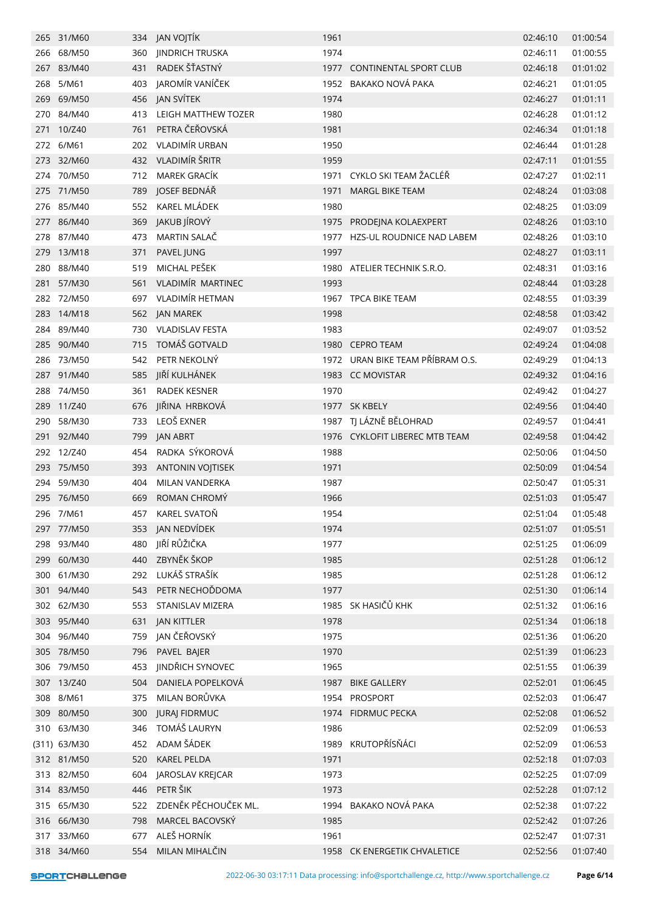|     | 265 31/M60   |     | 334 JAN VOJTÍK          | 1961 |                                  | 02:46:10 | 01:00:54 |
|-----|--------------|-----|-------------------------|------|----------------------------------|----------|----------|
|     | 266 68/M50   | 360 | <b>JINDRICH TRUSKA</b>  | 1974 |                                  | 02:46:11 | 01:00:55 |
|     | 267 83/M40   | 431 | RADEK ŠŤASTNÝ           |      | 1977 CONTINENTAL SPORT CLUB      | 02:46:18 | 01:01:02 |
|     | 268 5/M61    |     | 403 JAROMÍR VANÍČEK     |      | 1952 BAKAKO NOVÁ PAKA            | 02:46:21 | 01:01:05 |
| 269 | 69/M50       |     | 456 JAN SVÍTEK          | 1974 |                                  | 02:46:27 | 01:01:11 |
| 270 | 84/M40       | 413 | LEIGH MATTHEW TOZER     | 1980 |                                  | 02:46:28 | 01:01:12 |
| 271 | 10/Z40       | 761 | PETRA ČEŘOVSKÁ          | 1981 |                                  | 02:46:34 | 01:01:18 |
|     | 272 6/M61    | 202 | <b>VLADIMÍR URBAN</b>   | 1950 |                                  | 02:46:44 | 01:01:28 |
|     | 273 32/M60   | 432 | VLADIMÍR ŠRITR          | 1959 |                                  | 02:47:11 | 01:01:55 |
|     | 274 70/M50   | 712 | MAREK GRACÍK            | 1971 | CYKLO SKI TEAM ŽACLÉŘ            | 02:47:27 | 01:02:11 |
| 275 | 71/M50       | 789 | JOSEF BEDNÁŘ            | 1971 | <b>MARGL BIKE TEAM</b>           | 02:48:24 | 01:03:08 |
|     | 276 85/M40   | 552 | KAREL MLÁDEK            | 1980 |                                  | 02:48:25 | 01:03:09 |
|     | 277 86/M40   | 369 | JAKUB JÍROVÝ            | 1975 | PRODEJNA KOLAEXPERT              | 02:48:26 | 01:03:10 |
|     | 278 87/M40   | 473 | MARTIN SALAČ            |      | 1977 HZS-UL ROUDNICE NAD LABEM   | 02:48:26 | 01:03:10 |
|     | 279 13/M18   | 371 | PAVEL JUNG              | 1997 |                                  | 02:48:27 | 01:03:11 |
|     | 280 88/M40   | 519 | MICHAL PEŠEK            |      | 1980 ATELIER TECHNIK S.R.O.      | 02:48:31 | 01:03:16 |
| 281 | 57/M30       | 561 | VLADIMÍR MARTINEC       | 1993 |                                  | 02:48:44 | 01:03:28 |
|     | 282 72/M50   | 697 | VLADIMÍR HETMAN         |      | 1967 TPCA BIKE TEAM              | 02:48:55 | 01:03:39 |
|     | 283 14/M18   | 562 | JAN MAREK               | 1998 |                                  | 02:48:58 | 01:03:42 |
| 284 | 89/M40       | 730 | <b>VLADISLAV FESTA</b>  | 1983 |                                  | 02:49:07 | 01:03:52 |
|     | 285 90/M40   | 715 | TOMÁŠ GOTVALD           |      | 1980 CEPRO TEAM                  | 02:49:24 | 01:04:08 |
|     | 286 73/M50   | 542 | PETR NEKOLNÝ            |      | 1972 URAN BIKE TEAM PŘÍBRAM O.S. | 02:49:29 | 01:04:13 |
|     | 287 91/M40   | 585 | JIŘÍ KULHÁNEK           |      | 1983 CC MOVISTAR                 | 02:49:32 | 01:04:16 |
|     | 288 74/M50   | 361 | <b>RADEK KESNER</b>     | 1970 |                                  | 02:49:42 | 01:04:27 |
|     | 289 11/Z40   | 676 | JIŘINA HRBKOVÁ          |      | 1977 SK KBELY                    | 02:49:56 | 01:04:40 |
|     | 290 58/M30   | 733 | LEOŠ EXNER              |      | 1987 TJ LÁZNĚ BĚLOHRAD           | 02:49:57 | 01:04:41 |
|     | 291 92/M40   | 799 | JAN ABRT                |      | 1976 CYKLOFIT LIBEREC MTB TEAM   | 02:49:58 | 01:04:42 |
| 292 | 12/Z40       | 454 | RADKA SÝKOROVÁ          | 1988 |                                  | 02:50:06 | 01:04:50 |
|     | 293 75/M50   | 393 | <b>ANTONIN VOJTISEK</b> | 1971 |                                  | 02:50:09 | 01:04:54 |
|     | 294 59/M30   | 404 | MILAN VANDERKA          | 1987 |                                  | 02:50:47 | 01:05:31 |
|     | 295 76/M50   | 669 | ROMAN CHROMÝ            | 1966 |                                  | 02:51:03 | 01:05:47 |
|     | 296 7/M61    | 457 | <b>KAREL SVATOŇ</b>     | 1954 |                                  | 02:51:04 | 01:05:48 |
|     | 297 77/M50   |     | 353 JAN NEDVÍDEK        | 1974 |                                  | 02:51:07 | 01:05:51 |
|     | 298 93/M40   | 480 | JIŘÍ RŮŽIČKA            | 1977 |                                  | 02:51:25 | 01:06:09 |
|     | 299 60/M30   | 440 | ZBYNĚK ŠKOP             | 1985 |                                  | 02:51:28 | 01:06:12 |
|     | 300 61/M30   | 292 | LUKÁŠ STRAŠÍK           | 1985 |                                  | 02:51:28 | 01:06:12 |
|     | 301 94/M40   | 543 | PETR NECHOĎDOMA         | 1977 |                                  | 02:51:30 | 01:06:14 |
|     | 302 62/M30   |     | 553 STANISLAV MIZERA    |      | 1985 SK HASIČŮ KHK               | 02:51:32 | 01:06:16 |
|     | 303 95/M40   | 631 | <b>JAN KITTLER</b>      | 1978 |                                  | 02:51:34 | 01:06:18 |
|     | 304 96/M40   | 759 | JAN ČEŘOVSKÝ            | 1975 |                                  | 02:51:36 | 01:06:20 |
|     | 305 78/M50   | 796 | PAVEL BAJER             | 1970 |                                  | 02:51:39 | 01:06:23 |
|     | 306 79/M50   | 453 | JINDŘICH SYNOVEC        | 1965 |                                  | 02:51:55 | 01:06:39 |
|     | 307 13/Z40   | 504 | DANIELA POPELKOVÁ       | 1987 | <b>BIKE GALLERY</b>              | 02:52:01 | 01:06:45 |
|     | 308 8/M61    | 375 | MILAN BORŮVKA           |      | 1954 PROSPORT                    | 02:52:03 | 01:06:47 |
|     | 309 80/M50   | 300 | <b>JURAJ FIDRMUC</b>    |      | 1974 FIDRMUC PECKA               | 02:52:08 | 01:06:52 |
|     | 310 63/M30   | 346 | TOMÁŠ LAURYN            | 1986 |                                  | 02:52:09 | 01:06:53 |
|     | (311) 63/M30 | 452 | ADAM ŠÁDEK              |      | 1989 KRUTOPŘÍSŇÁCI               | 02:52:09 | 01:06:53 |
|     | 312 81/M50   | 520 | <b>KAREL PELDA</b>      | 1971 |                                  | 02:52:18 | 01:07:03 |
|     | 313 82/M50   | 604 | JAROSLAV KREJCAR        | 1973 |                                  | 02:52:25 | 01:07:09 |
|     | 314 83/M50   | 446 | PETR ŠIK                | 1973 |                                  | 02:52:28 | 01:07:12 |
|     | 315 65/M30   | 522 | ZDENĚK PĚCHOUČEK ML.    |      | 1994 BAKAKO NOVÁ PAKA            | 02:52:38 | 01:07:22 |
|     | 316 66/M30   | 798 | MARCEL BACOVSKÝ         | 1985 |                                  | 02:52:42 | 01:07:26 |
|     | 317 33/M60   | 677 | ALEŠ HORNÍK             | 1961 |                                  | 02:52:47 | 01:07:31 |
|     | 318 34/M60   |     | 554 MILAN MIHALČIN      |      | 1958 CK ENERGETIK CHVALETICE     | 02:52:56 | 01:07:40 |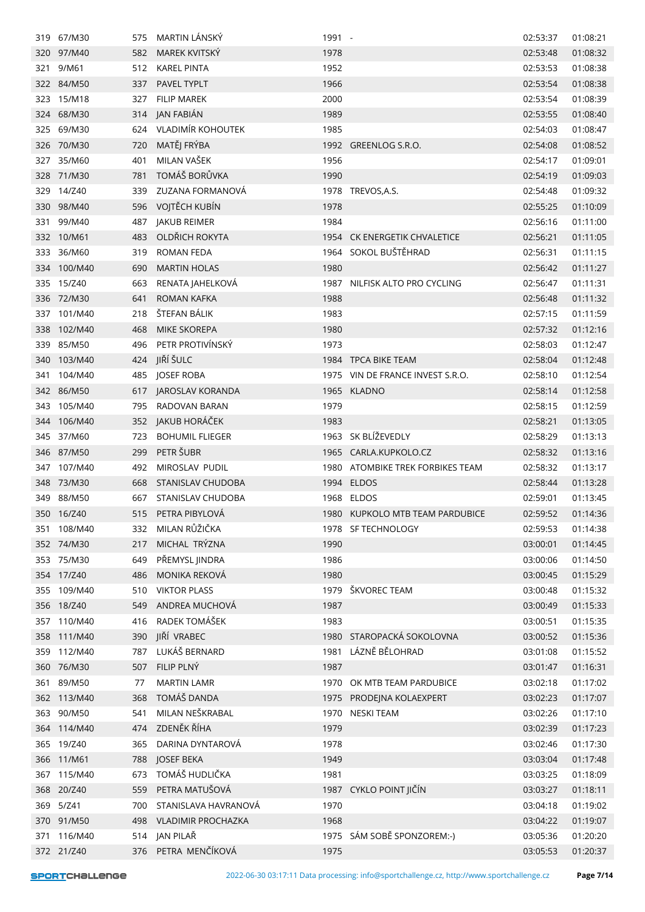|     | 319 67/M30  | 575 | MARTIN LANSKÝ             | 1991 - |                                  | 02:53:37 | 01:08:21 |
|-----|-------------|-----|---------------------------|--------|----------------------------------|----------|----------|
|     | 320 97/M40  | 582 | MAREK KVITSKÝ             | 1978   |                                  | 02:53:48 | 01:08:32 |
|     | 321 9/M61   | 512 | <b>KAREL PINTA</b>        | 1952   |                                  | 02:53:53 | 01:08:38 |
|     | 322 84/M50  | 337 | PAVEL TYPLT               | 1966   |                                  | 02:53:54 | 01:08:38 |
|     | 323 15/M18  | 327 | <b>FILIP MAREK</b>        | 2000   |                                  | 02:53:54 | 01:08:39 |
|     | 324 68/M30  |     | 314 JAN FABIÁN            | 1989   |                                  | 02:53:55 | 01:08:40 |
| 325 | 69/M30      | 624 | VLADIMÍR KOHOUTEK         | 1985   |                                  | 02:54:03 | 01:08:47 |
| 326 | 70/M30      | 720 | MATĚJ FRÝBA               |        | 1992 GREENLOG S.R.O.             | 02:54:08 | 01:08:52 |
|     | 327 35/M60  | 401 | MILAN VAŠEK               | 1956   |                                  | 02:54:17 | 01:09:01 |
|     | 328 71/M30  | 781 | TOMÁŠ BORŮVKA             | 1990   |                                  | 02:54:19 | 01:09:03 |
|     | 329 14/Z40  | 339 | ZUZANA FORMANOVÁ          |        | 1978 TREVOS, A.S.                | 02:54:48 | 01:09:32 |
| 330 | 98/M40      | 596 | VOJTĚCH KUBÍN             | 1978   |                                  | 02:55:25 | 01:10:09 |
| 331 | 99/M40      | 487 | JAKUB REIMER              | 1984   |                                  | 02:56:16 | 01:11:00 |
|     | 332 10/M61  | 483 | OLDŘICH ROKYTA            |        | 1954 CK ENERGETIK CHVALETICE     | 02:56:21 | 01:11:05 |
|     | 333 36/M60  | 319 | ROMAN FEDA                |        | 1964 SOKOL BUŠTĚHRAD             | 02:56:31 | 01:11:15 |
|     | 334 100/M40 | 690 | <b>MARTIN HOLAS</b>       | 1980   |                                  | 02:56:42 | 01:11:27 |
|     | 335 15/Z40  | 663 | RENATA JAHELKOVÁ          |        | 1987 NILFISK ALTO PRO CYCLING    | 02:56:47 | 01:11:31 |
| 336 | 72/M30      | 641 | ROMAN KAFKA               | 1988   |                                  | 02:56:48 | 01:11:32 |
|     | 337 101/M40 | 218 | ŠTEFAN BÁLIK              | 1983   |                                  | 02:57:15 | 01:11:59 |
| 338 | 102/M40     | 468 | <b>MIKE SKOREPA</b>       | 1980   |                                  | 02:57:32 | 01:12:16 |
|     | 339 85/M50  | 496 | PETR PROTIVÍNSKÝ          | 1973   |                                  | 02:58:03 | 01:12:47 |
| 340 | 103/M40     | 424 | JIŘÍ ŠULC                 |        | 1984 TPCA BIKE TEAM              | 02:58:04 | 01:12:48 |
| 341 | 104/M40     | 485 | JOSEF ROBA                |        | 1975 VIN DE FRANCE INVEST S.R.O. | 02:58:10 | 01:12:54 |
|     | 342 86/M50  | 617 | JAROSLAV KORANDA          |        | 1965 KLADNO                      | 02:58:14 | 01:12:58 |
| 343 | 105/M40     | 795 | RADOVAN BARAN             | 1979   |                                  | 02:58:15 | 01:12:59 |
| 344 | 106/M40     | 352 | JAKUB HORÁČEK             | 1983   |                                  | 02:58:21 | 01:13:05 |
|     | 345 37/M60  | 723 | <b>BOHUMIL FLIEGER</b>    |        | 1963 SK BLÍŽEVEDLY               | 02:58:29 | 01:13:13 |
|     | 346 87/M50  | 299 | PETR ŠUBR                 |        | 1965 CARLA.KUPKOLO.CZ            | 02:58:32 | 01:13:16 |
| 347 | 107/M40     | 492 | MIROSLAV PUDIL            |        | 1980 ATOMBIKE TREK FORBIKES TEAM | 02:58:32 | 01:13:17 |
| 348 | 73/M30      | 668 | <b>STANISLAV CHUDOBA</b>  |        | 1994 ELDOS                       | 02:58:44 | 01:13:28 |
| 349 | 88/M50      | 667 | <b>STANISLAV CHUDOBA</b>  |        | 1968 ELDOS                       | 02:59:01 | 01:13:45 |
|     | 350 16/Z40  | 515 | PETRA PIBYLOVÁ            |        | 1980 KUPKOLO MTB TEAM PARDUBICE  | 02:59:52 | 01:14:36 |
| 351 | 108/M40     | 332 | MILAN RŮŽIČKA             |        | 1978 SF TECHNOLOGY               | 02:59:53 | 01:14:38 |
|     | 352 74/M30  | 217 | MICHAL TRÝZNA             | 1990   |                                  | 03:00:01 | 01:14:45 |
|     | 353 75/M30  | 649 | PŘEMYSL JINDRA            | 1986   |                                  | 03:00:06 | 01:14:50 |
|     | 354 17/Z40  | 486 | MONIKA REKOVÁ             | 1980   |                                  | 03:00:45 | 01:15:29 |
|     | 355 109/M40 | 510 | <b>VIKTOR PLASS</b>       |        | 1979 ŠKVOREC TEAM                | 03:00:48 | 01:15:32 |
|     | 356 18/Z40  | 549 | ANDREA MUCHOVÁ            | 1987   |                                  | 03:00:49 | 01:15:33 |
|     | 357 110/M40 | 416 | RADEK TOMÁŠEK             | 1983   |                                  | 03:00:51 | 01:15:35 |
| 358 | 111/M40     | 390 | JIŘÍ VRABEC               |        | 1980 STAROPACKÁ SOKOLOVNA        | 03:00:52 | 01:15:36 |
|     | 359 112/M40 | 787 | LUKÁŠ BERNARD             |        | 1981 LÁZNĚ BĚLOHRAD              | 03:01:08 | 01:15:52 |
|     | 360 76/M30  | 507 | FILIP PLNÝ                | 1987   |                                  | 03:01:47 | 01:16:31 |
|     | 361 89/M50  | 77  | <b>MARTIN LAMR</b>        | 1970   | OK MTB TEAM PARDUBICE            | 03:02:18 | 01:17:02 |
|     | 362 113/M40 | 368 | TOMÁŠ DANDA               | 1975   | PRODEJNA KOLAEXPERT              | 03:02:23 | 01:17:07 |
|     | 363 90/M50  | 541 | MILAN NEŠKRABAL           | 1970   | NESKI TEAM                       | 03:02:26 | 01:17:10 |
|     | 364 114/M40 | 474 | ZDENĚK ŘÍHA               | 1979   |                                  | 03:02:39 | 01:17:23 |
|     | 365 19/Z40  | 365 | DARINA DYNTAROVÁ          | 1978   |                                  | 03:02:46 | 01:17:30 |
|     | 366 11/M61  | 788 | JOSEF BEKA                | 1949   |                                  | 03:03:04 | 01:17:48 |
|     | 367 115/M40 | 673 | TOMÁŠ HUDLIČKA            | 1981   |                                  | 03:03:25 | 01:18:09 |
|     | 368 20/Z40  | 559 | PETRA MATUŠOVÁ            |        | 1987 CYKLO POINT JIČÍN           | 03:03:27 | 01:18:11 |
| 369 | 5/Z41       | 700 | STANISLAVA HAVRANOVÁ      | 1970   |                                  | 03:04:18 | 01:19:02 |
|     | 370 91/M50  | 498 | <b>VLADIMIR PROCHAZKA</b> | 1968   |                                  | 03:04:22 | 01:19:07 |
| 371 | 116/M40     | 514 | JAN PILAŘ                 |        | 1975 SÁM SOBĚ SPONZOREM:-)       | 03:05:36 | 01:20:20 |
|     | 372 21/Z40  | 376 | PETRA MENČÍKOVÁ           | 1975   |                                  | 03:05:53 | 01:20:37 |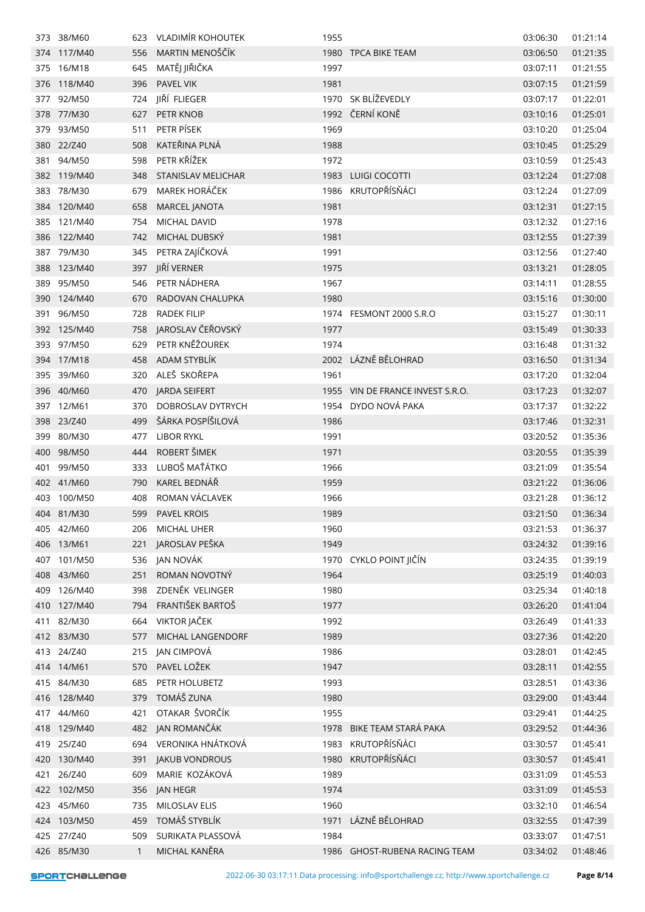| 373 | 38/M60      | 623          | VLADIMÍR KOHOUTEK     | 1955 |                                  | 03:06:30 | 01:21:14 |
|-----|-------------|--------------|-----------------------|------|----------------------------------|----------|----------|
|     | 374 117/M40 | 556          | MARTIN MENOŠČÍK       |      | 1980 TPCA BIKE TEAM              | 03:06:50 | 01:21:35 |
|     | 375 16/M18  | 645          | MATĚJ JIŘIČKA         | 1997 |                                  | 03:07:11 | 01:21:55 |
| 376 | 118/M40     | 396          | PAVEL VIK             | 1981 |                                  | 03:07:15 | 01:21:59 |
| 377 | 92/M50      | 724          | JIŘÍ FLIEGER          |      | 1970 SK BLÍŽEVEDLY               | 03:07:17 | 01:22:01 |
| 378 | 77/M30      | 627          | PETR KNOB             |      | 1992 ČERNÍ KONĚ                  | 03:10:16 | 01:25:01 |
| 379 | 93/M50      | 511          | PETR PÍSEK            | 1969 |                                  | 03:10:20 | 01:25:04 |
| 380 | 22/Z40      | 508          | KATEŘINA PLNÁ         | 1988 |                                  | 03:10:45 | 01:25:29 |
| 381 | 94/M50      | 598          | PETR KŘÍŽEK           | 1972 |                                  | 03:10:59 | 01:25:43 |
|     | 382 119/M40 | 348          | STANISLAV MELICHAR    |      | 1983 LUIGI COCOTTI               | 03:12:24 | 01:27:08 |
|     | 383 78/M30  | 679          | MAREK HORÁČEK         |      | 1986 KRUTOPŘÍSŇÁCI               | 03:12:24 | 01:27:09 |
| 384 | 120/M40     | 658          | MARCEL JANOTA         | 1981 |                                  | 03:12:31 | 01:27:15 |
|     | 385 121/M40 | 754          | MICHAL DAVID          | 1978 |                                  | 03:12:32 | 01:27:16 |
|     | 386 122/M40 | 742          | MICHAL DUBSKÝ         | 1981 |                                  | 03:12:55 | 01:27:39 |
|     | 387 79/M30  | 345          | PETRA ZAJÍČKOVÁ       | 1991 |                                  | 03:12:56 | 01:27:40 |
| 388 | 123/M40     | 397          | JIŘÍ VERNER           | 1975 |                                  | 03:13:21 | 01:28:05 |
|     | 389 95/M50  | 546          | PETR NÁDHERA          | 1967 |                                  | 03:14:11 | 01:28:55 |
| 390 | 124/M40     | 670          | RADOVAN CHALUPKA      | 1980 |                                  | 03:15:16 | 01:30:00 |
| 391 | 96/M50      | 728          | <b>RADEK FILIP</b>    |      | 1974 FESMONT 2000 S.R.O          | 03:15:27 | 01:30:11 |
|     | 392 125/M40 | 758          | JAROSLAV ČEŘOVSKÝ     | 1977 |                                  | 03:15:49 | 01:30:33 |
| 393 | 97/M50      | 629          | PETR KNĚŽOUREK        | 1974 |                                  | 03:16:48 | 01:31:32 |
| 394 | 17/M18      | 458          | ADAM STYBLÍK          |      | 2002 LÁZNĚ BĚLOHRAD              | 03:16:50 | 01:31:34 |
| 395 | 39/M60      | 320          | ALEŠ SKOŘEPA          | 1961 |                                  | 03:17:20 | 01:32:04 |
|     | 396 40/M60  | 470          | JARDA SEIFERT         |      | 1955 VIN DE FRANCE INVEST S.R.O. | 03:17:23 | 01:32:07 |
|     | 397 12/M61  | 370          | DOBROSLAV DYTRYCH     |      | 1954 DYDO NOVÁ PAKA              | 03:17:37 | 01:32:22 |
|     | 398 23/Z40  | 499          | ŠÁRKA POSPÍŠILOVÁ     | 1986 |                                  | 03:17:46 | 01:32:31 |
|     | 399 80/M30  | 477          | <b>LIBOR RYKL</b>     | 1991 |                                  | 03:20:52 | 01:35:36 |
| 400 | 98/M50      | 444          | ROBERT ŠIMEK          | 1971 |                                  | 03:20:55 | 01:35:39 |
| 401 | 99/M50      | 333          | LUBOŠ MAŤÁTKO         | 1966 |                                  | 03:21:09 | 01:35:54 |
|     | 402 41/M60  | 790          | KAREL BEDNÁŘ          | 1959 |                                  | 03:21:22 | 01:36:06 |
| 403 | 100/M50     | 408          | ROMAN VÁCLAVEK        | 1966 |                                  | 03:21:28 | 01:36:12 |
|     | 404 81/M30  | 599          | <b>PAVEL KROIS</b>    | 1989 |                                  | 03:21:50 | 01:36:34 |
|     | 405 42/M60  | 206          | MICHAL UHER           | 1960 |                                  | 03:21:53 | 01:36:37 |
|     | 406 13/M61  | 221          | JAROSLAV PEŠKA        | 1949 |                                  | 03:24:32 | 01:39:16 |
|     | 407 101/M50 | 536          | JAN NOVÁK             |      | 1970 CYKLO POINT JIČÍN           | 03:24:35 | 01:39:19 |
|     | 408 43/M60  | 251          | ROMAN NOVOTNÝ         | 1964 |                                  | 03:25:19 | 01:40:03 |
| 409 | 126/M40     | 398          | ZDENĚK VELINGER       | 1980 |                                  | 03:25:34 | 01:40:18 |
|     | 410 127/M40 | 794          | FRANTIŠEK BARTOŠ      | 1977 |                                  | 03:26:20 | 01:41:04 |
| 411 | 82/M30      | 664          | <b>VIKTOR JAČEK</b>   | 1992 |                                  | 03:26:49 | 01:41:33 |
|     | 412 83/M30  | 577          | MICHAL LANGENDORF     | 1989 |                                  | 03:27:36 | 01:42:20 |
|     | 413 24/Z40  | 215          | JAN CIMPOVÁ           | 1986 |                                  | 03:28:01 | 01:42:45 |
|     | 414 14/M61  | 570          | PAVEL LOŽEK           | 1947 |                                  | 03:28:11 | 01:42:55 |
|     | 415 84/M30  | 685          | PETR HOLUBETZ         | 1993 |                                  | 03:28:51 | 01:43:36 |
|     | 416 128/M40 | 379          | TOMÁŠ ZUNA            | 1980 |                                  | 03:29:00 | 01:43:44 |
| 417 | 44/M60      | 421          | OTAKAR ŠVORČÍK        | 1955 |                                  | 03:29:41 | 01:44:25 |
|     | 418 129/M40 |              | 482 JAN ROMANČÁK      |      | 1978 BIKE TEAM STARÁ PAKA        | 03:29:52 | 01:44:36 |
|     | 419 25/Z40  | 694          | VERONIKA HNÁTKOVÁ     |      | 1983 KRUTOPŘÍSŇÁCI               | 03:30:57 | 01:45:41 |
| 420 | 130/M40     | 391          | <b>JAKUB VONDROUS</b> | 1980 | KRUTOPŘÍSŇÁCI                    | 03:30:57 | 01:45:41 |
|     | 421 26/Z40  | 609          | MARIE KOZÁKOVÁ        | 1989 |                                  | 03:31:09 | 01:45:53 |
|     | 422 102/M50 | 356          | JAN HEGR              | 1974 |                                  | 03:31:09 | 01:45:53 |
| 423 | 45/M60      | 735          | <b>MILOSLAV ELIS</b>  | 1960 |                                  | 03:32:10 | 01:46:54 |
|     | 424 103/M50 | 459          | TOMÁŠ STYBLÍK         | 1971 | LÁZNĚ BĚLOHRAD                   | 03:32:55 | 01:47:39 |
|     | 425 27/Z40  | 509          | SURIKATA PLASSOVÁ     | 1984 |                                  | 03:33:07 | 01:47:51 |
|     | 426 85/M30  | $\mathbf{1}$ | MICHAL KANĚRA         |      | 1986 GHOST-RUBENA RACING TEAM    | 03:34:02 | 01:48:46 |
|     |             |              |                       |      |                                  |          |          |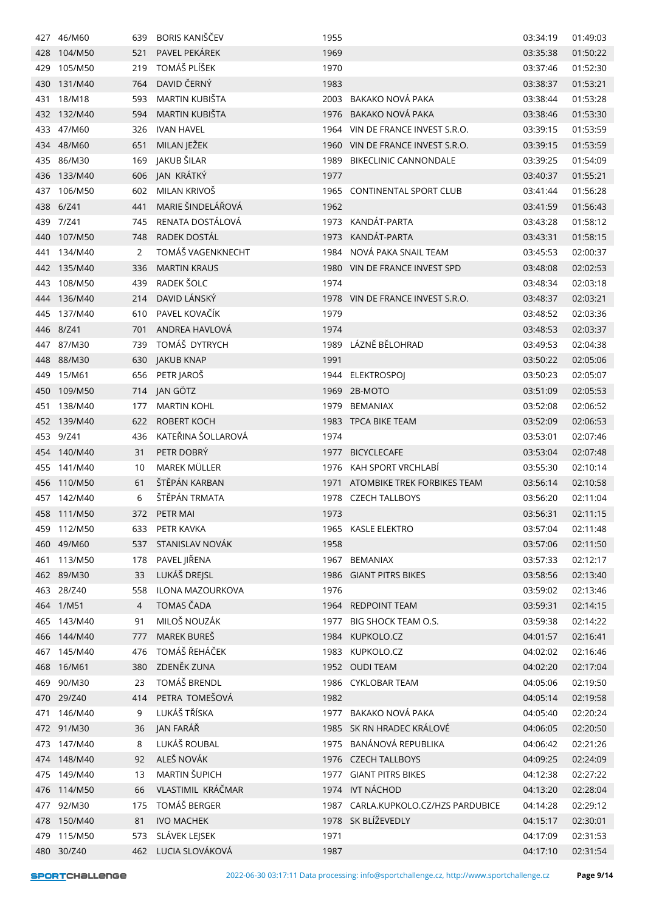| 427 | 46/M60      | 639            | <b>BORIS KANIŠČEV</b> | 1955 |                                     | 03:34:19 | 01:49:03 |
|-----|-------------|----------------|-----------------------|------|-------------------------------------|----------|----------|
| 428 | 104/M50     | 521            | PAVEL PEKÁREK         | 1969 |                                     | 03:35:38 | 01:50:22 |
| 429 | 105/M50     | 219            | TOMÁŠ PLÍŠEK          | 1970 |                                     | 03:37:46 | 01:52:30 |
| 430 | 131/M40     | 764            | DAVID ČERNÝ           | 1983 |                                     | 03:38:37 | 01:53:21 |
| 431 | 18/M18      | 593            | MARTIN KUBIŠTA        | 2003 | BAKAKO NOVÁ PAKA                    | 03:38:44 | 01:53:28 |
| 432 | 132/M40     | 594            | MARTIN KUBIŠTA        | 1976 | BAKAKO NOVÁ PAKA                    | 03:38:46 | 01:53:30 |
| 433 | 47/M60      | 326            | <b>IVAN HAVEL</b>     | 1964 | VIN DE FRANCE INVEST S.R.O.         | 03:39:15 | 01:53:59 |
| 434 | 48/M60      | 651            | MILAN JEŽEK           | 1960 | VIN DE FRANCE INVEST S.R.O.         | 03:39:15 | 01:53:59 |
|     | 435 86/M30  | 169            | JAKUB ŠILAR           | 1989 | <b>BIKECLINIC CANNONDALE</b>        | 03:39:25 | 01:54:09 |
|     | 436 133/M40 | 606            | JAN KRÁTKÝ            | 1977 |                                     | 03:40:37 | 01:55:21 |
| 437 | 106/M50     | 602            | MILAN KRIVOŠ          |      | 1965 CONTINENTAL SPORT CLUB         | 03:41:44 | 01:56:28 |
| 438 | 6/241       | 441            | MARIE ŠINDELÁŘOVÁ     | 1962 |                                     | 03:41:59 | 01:56:43 |
| 439 | 7/Z41       | 745            | RENATA DOSTÁLOVÁ      | 1973 | KANDÁT-PARTA                        | 03:43:28 | 01:58:12 |
| 440 | 107/M50     | 748            | RADEK DOSTÁL          | 1973 | KANDÁT-PARTA                        | 03:43:31 | 01:58:15 |
| 441 | 134/M40     | 2              | TOMÁŠ VAGENKNECHT     | 1984 | NOVÁ PAKA SNAIL TEAM                | 03:45:53 | 02:00:37 |
| 442 | 135/M40     | 336            | <b>MARTIN KRAUS</b>   |      | 1980 VIN DE FRANCE INVEST SPD       | 03:48:08 | 02:02:53 |
| 443 | 108/M50     | 439            | RADEK ŠOLC            | 1974 |                                     | 03:48:34 | 02:03:18 |
| 444 | 136/M40     | 214            | DAVID LÁNSKÝ          |      | 1978 VIN DE FRANCE INVEST S.R.O.    | 03:48:37 | 02:03:21 |
| 445 | 137/M40     | 610            | PAVEL KOVAČÍK         | 1979 |                                     | 03:48:52 | 02:03:36 |
|     | 446 8/Z41   | 701            | ANDREA HAVLOVÁ        | 1974 |                                     | 03:48:53 | 02:03:37 |
| 447 | 87/M30      | 739            | TOMÁŠ DYTRYCH         | 1989 | LÁZNĚ BĚLOHRAD                      | 03:49:53 | 02:04:38 |
| 448 | 88/M30      | 630            | <b>JAKUB KNAP</b>     | 1991 |                                     | 03:50:22 | 02:05:06 |
| 449 | 15/M61      | 656            | PETR JAROŠ            | 1944 | <b>ELEKTROSPOJ</b>                  | 03:50:23 | 02:05:07 |
| 450 | 109/M50     | 714            | JAN GÖTZ              | 1969 | 2B-MOTO                             | 03:51:09 | 02:05:53 |
| 451 | 138/M40     | 177            | <b>MARTIN KOHL</b>    | 1979 | BEMANIAX                            | 03:52:08 | 02:06:52 |
| 452 | 139/M40     | 622            | ROBERT KOCH           |      | 1983 TPCA BIKE TEAM                 | 03:52:09 | 02:06:53 |
| 453 | 9/Z41       | 436            | KATEŘINA ŠOLLAROVÁ    | 1974 |                                     | 03:53:01 | 02:07:46 |
| 454 | 140/M40     | 31             | PETR DOBRY            | 1977 | <b>BICYCLECAFE</b>                  | 03:53:04 | 02:07:48 |
| 455 | 141/M40     | 10             | MAREK MÜLLER          | 1976 | KAH SPORT VRCHLABÍ                  | 03:55:30 | 02:10:14 |
| 456 | 110/M50     | 61             | ŠTĚPÁN KARBAN         | 1971 | ATOMBIKE TREK FORBIKES TEAM         | 03:56:14 | 02:10:58 |
| 457 | 142/M40     | 6              | ŠTĚPÁN TRMATA         | 1978 | <b>CZECH TALLBOYS</b>               | 03:56:20 | 02:11:04 |
|     | 458 111/M50 | 372            | PETR MAI              | 1973 |                                     | 03:56:31 | 02:11:15 |
|     | 459 112/M50 | 633            | PETR KAVKA            |      | 1965 KASLE ELEKTRO                  | 03:57:04 | 02:11:48 |
|     | 460 49/M60  | 537            | STANISLAV NOVÁK       | 1958 |                                     | 03:57:06 | 02:11:50 |
|     | 461 113/M50 | 178            | PAVEL JIŘENA          |      | 1967 BEMANIAX                       | 03:57:33 | 02:12:17 |
|     | 462 89/M30  | 33             | LUKÁŠ DREJSL          |      | 1986 GIANT PITRS BIKES              | 03:58:56 | 02:13:40 |
|     | 463 28/Z40  | 558            | ILONA MAZOURKOVA      | 1976 |                                     | 03:59:02 | 02:13:46 |
|     | 464 1/M51   | $\overline{4}$ | TOMAS ČADA            |      | 1964 REDPOINT TEAM                  | 03:59:31 | 02:14:15 |
|     | 465 143/M40 | 91             | MILOŠ NOUZÁK          |      | 1977 BIG SHOCK TEAM O.S.            | 03:59:38 | 02:14:22 |
|     | 466 144/M40 | 777            | MAREK BUREŠ           |      | 1984 KUPKOLO.CZ                     | 04:01:57 | 02:16:41 |
|     | 467 145/M40 | 476            | TOMÁŠ ŘEHÁČEK         |      | 1983 KUPKOLO.CZ                     | 04:02:02 | 02:16:46 |
|     | 468 16/M61  | 380            | ZDENĚK ZUNA           |      | 1952 OUDI TEAM                      | 04:02:20 | 02:17:04 |
|     | 469 90/M30  | 23             | TOMÁŠ BRENDL          |      | 1986 CYKLOBAR TEAM                  | 04:05:06 | 02:19:50 |
|     | 470 29/Z40  | 414            | PETRA TOMEŠOVÁ        | 1982 |                                     | 04:05:14 | 02:19:58 |
| 471 | 146/M40     | 9              | LUKÁŠ TŘÍSKA          |      | 1977 BAKAKO NOVÁ PAKA               | 04:05:40 | 02:20:24 |
|     | 472 91/M30  | 36             | JAN FARÁŘ             |      | 1985 SK RN HRADEC KRÁLOVÉ           | 04:06:05 | 02:20:50 |
|     | 473 147/M40 | 8              | LUKÁŠ ROUBAL          |      | 1975 BANÁNOVÁ REPUBLIKA             | 04:06:42 | 02:21:26 |
| 474 | 148/M40     | 92             | ALEŠ NOVÁK            |      | 1976 CZECH TALLBOYS                 | 04:09:25 | 02:24:09 |
|     | 475 149/M40 | 13             | MARTIN ŠUPICH         |      | 1977 GIANT PITRS BIKES              | 04:12:38 | 02:27:22 |
|     | 476 114/M50 | 66             | VLASTIMIL KRÁČMAR     |      | 1974 IVT NÁCHOD                     | 04:13:20 | 02:28:04 |
| 477 | 92/M30      | 175            | TOMÁŠ BERGER          |      | 1987 CARLA.KUPKOLO.CZ/HZS PARDUBICE | 04:14:28 | 02:29:12 |
|     | 478 150/M40 | 81             | <b>IVO MACHEK</b>     |      | 1978 SK BLÍŽEVEDLY                  | 04:15:17 | 02:30:01 |
|     | 479 115/M50 | 573            | SLÁVEK LEJSEK         | 1971 |                                     | 04:17:09 | 02:31:53 |
|     | 480 30/Z40  |                | 462 LUCIA SLOVÁKOVÁ   | 1987 |                                     | 04:17:10 | 02:31:54 |
|     |             |                |                       |      |                                     |          |          |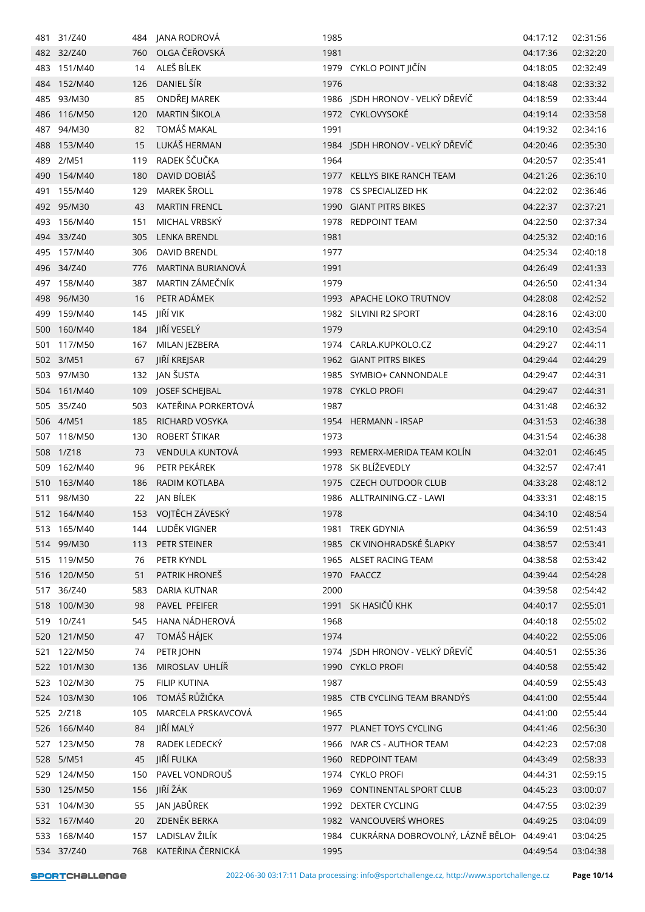|            | 481 31/Z40  |     | 484 JANA RODROVÁ     | 1985 |                                                | 04:17:12 | 02:31:56 |
|------------|-------------|-----|----------------------|------|------------------------------------------------|----------|----------|
|            | 482 32/Z40  | 760 | OLGA ČEŘOVSKÁ        | 1981 |                                                | 04:17:36 | 02:32:20 |
|            | 483 151/M40 | 14  | ALEŠ BÍLEK           |      | 1979 CYKLO POINT JIČÍN                         | 04:18:05 | 02:32:49 |
|            | 484 152/M40 | 126 | DANIEL ŠÍR           | 1976 |                                                | 04:18:48 | 02:33:32 |
|            | 485 93/M30  | 85  | ONDŘEJ MAREK         |      | 1986 JSDH HRONOV - VELKÝ DŘEVÍČ                | 04:18:59 | 02:33:44 |
| 486        | 116/M50     | 120 | MARTIN ŠIKOLA        |      | 1972 CYKLOVYSOKÉ                               | 04:19:14 | 02:33:58 |
|            | 487 94/M30  | 82  | TOMÁŠ MAKAL          | 1991 |                                                | 04:19:32 | 02:34:16 |
| 488        | 153/M40     | 15  | LUKÁŠ HERMAN         |      | 1984 JSDH HRONOV - VELKÝ DŘEVÍČ                | 04:20:46 | 02:35:30 |
| 489        | 2/M51       | 119 | RADEK ŠČUČKA         | 1964 |                                                | 04:20:57 | 02:35:41 |
|            | 490 154/M40 | 180 | DAVID DOBIÁŠ         |      | 1977 KELLYS BIKE RANCH TEAM                    | 04:21:26 | 02:36:10 |
| 491        | 155/M40     | 129 | MAREK ŠROLL          |      | 1978 CS SPECIALIZED HK                         | 04:22:02 | 02:36:46 |
|            | 492 95/M30  | 43  | <b>MARTIN FRENCL</b> |      | 1990 GIANT PITRS BIKES                         | 04:22:37 | 02:37:21 |
|            | 493 156/M40 | 151 | MICHAL VRBSKÝ        |      | 1978 REDPOINT TEAM                             | 04:22:50 | 02:37:34 |
|            | 494 33/Z40  | 305 | <b>LENKA BRENDL</b>  | 1981 |                                                | 04:25:32 | 02:40:16 |
|            | 495 157/M40 | 306 | DAVID BRENDL         | 1977 |                                                | 04:25:34 | 02:40:18 |
|            | 496 34/Z40  | 776 | MARTINA BURIANOVÁ    | 1991 |                                                | 04:26:49 | 02:41:33 |
|            | 497 158/M40 | 387 | MARTIN ZÁMEČNÍK      | 1979 |                                                | 04:26:50 | 02:41:34 |
|            | 498 96/M30  | 16  | PETR ADÁMEK          |      | 1993 APACHE LOKO TRUTNOV                       | 04:28:08 | 02:42:52 |
|            | 499 159/M40 | 145 | JIŘÍ VIK             |      | 1982 SILVINI R2 SPORT                          | 04:28:16 | 02:43:00 |
| 500        | 160/M40     | 184 | JIŘÍ VESELÝ          | 1979 |                                                | 04:29:10 | 02:43:54 |
|            | 501 117/M50 | 167 | MILAN JEZBERA        |      | 1974 CARLA.KUPKOLO.CZ                          | 04:29:27 | 02:44:11 |
|            | 502 3/M51   | 67  | JIŘÍ KREJSAR         |      | 1962 GIANT PITRS BIKES                         | 04:29:44 | 02:44:29 |
| 503        | 97/M30      | 132 | JAN ŠUSTA            |      | 1985 SYMBIO+ CANNONDALE                        | 04:29:47 | 02:44:31 |
|            | 504 161/M40 | 109 | JOSEF SCHEJBAL       |      | 1978 CYKLO PROFI                               | 04:29:47 | 02:44:31 |
|            | 505 35/Z40  | 503 | KATEŘINA PORKERTOVÁ  | 1987 |                                                | 04:31:48 | 02:46:32 |
|            | 506 4/M51   | 185 | RICHARD VOSYKA       |      | 1954 HERMANN - IRSAP                           | 04:31:53 | 02:46:38 |
|            | 507 118/M50 | 130 | ROBERT ŠTIKAR        | 1973 |                                                | 04:31:54 | 02:46:38 |
|            | 508 1/Z18   | 73  | VENDULA KUNTOVÁ      |      | 1993 REMERX-MERIDA TEAM KOLÍN                  | 04:32:01 | 02:46:45 |
|            | 509 162/M40 | 96  | PETR PEKÁREK         |      | 1978 SK BLÍŽEVEDLY                             | 04:32:57 | 02:47:41 |
|            | 163/M40     |     | RADIM KOTLABA        |      | 1975 CZECH OUTDOOR CLUB                        | 04:33:28 | 02:48:12 |
| 510<br>511 | 98/M30      | 186 | JAN BÍLEK            |      |                                                |          | 02:48:15 |
|            |             | 22  | 153 VOJTĚCH ZÁVESKÝ  |      | 1986 ALLTRAINING.CZ - LAWI                     | 04:33:31 |          |
|            | 512 164/M40 |     | LUDĚK VIGNER         | 1978 | 1981 TREK GDYNIA                               | 04:34:10 | 02:48:54 |
|            | 513 165/M40 | 144 |                      |      |                                                | 04:36:59 | 02:51:43 |
|            | 514 99/M30  | 113 | PETR STEINER         |      | 1985 CK VINOHRADSKÉ ŠLAPKY                     | 04:38:57 | 02:53:41 |
|            | 515 119/M50 | 76  | PETR KYNDL           |      | 1965 ALSET RACING TEAM                         | 04:38:58 | 02:53:42 |
|            | 516 120/M50 | 51  | PATRIK HRONEŠ        |      | 1970 FAACCZ                                    | 04:39:44 | 02:54:28 |
|            | 517 36/Z40  | 583 | <b>DARIA KUTNAR</b>  | 2000 |                                                | 04:39:58 | 02:54:42 |
|            | 518 100/M30 | 98  | PAVEL PFEIFER        |      | 1991 SK HASIČŮ KHK                             | 04:40:17 | 02:55:01 |
|            | 519 10/Z41  | 545 | HANA NÁDHEROVÁ       | 1968 |                                                | 04:40:18 | 02:55:02 |
|            | 520 121/M50 | 47  | TOMÁŠ HÁJEK          | 1974 |                                                | 04:40:22 | 02:55:06 |
|            | 521 122/M50 | 74  | PETR JOHN            |      | 1974 JSDH HRONOV - VELKÝ DŘEVÍČ                | 04:40:51 | 02:55:36 |
|            | 522 101/M30 | 136 | MIROSLAV UHLÍŘ       |      | 1990 CYKLO PROFI                               | 04:40:58 | 02:55:42 |
|            | 523 102/M30 | 75  | FILIP KUTINA         | 1987 |                                                | 04:40:59 | 02:55:43 |
|            | 524 103/M30 | 106 | TOMÁŠ RŮŽIČKA        |      | 1985 CTB CYCLING TEAM BRANDÝS                  | 04:41:00 | 02:55:44 |
|            | 525 2/Z18   | 105 | MARCELA PRSKAVCOVÁ   | 1965 |                                                | 04:41:00 | 02:55:44 |
|            | 526 166/M40 | 84  | JIŘÍ MALÝ            |      | 1977 PLANET TOYS CYCLING                       | 04:41:46 | 02:56:30 |
|            | 527 123/M50 | 78  | RADEK LEDECKÝ        |      | 1966 IVAR CS - AUTHOR TEAM                     | 04:42:23 | 02:57:08 |
|            | 528 5/M51   | 45  | JIŘÍ FULKA           |      | 1960 REDPOINT TEAM                             | 04:43:49 | 02:58:33 |
|            | 529 124/M50 | 150 | PAVEL VONDROUŠ       |      | 1974 CYKLO PROFI                               | 04:44:31 | 02:59:15 |
|            | 530 125/M50 | 156 | JIŘÍ ŽÁK             |      | 1969 CONTINENTAL SPORT CLUB                    | 04:45:23 | 03:00:07 |
|            | 531 104/M30 | 55  | JAN JABŮREK          |      | 1992 DEXTER CYCLING                            | 04:47:55 | 03:02:39 |
|            | 532 167/M40 | 20  | ZDENĚK BERKA         |      | 1982 VANCOUVERŚ WHORES                         | 04:49:25 | 03:04:09 |
|            | 533 168/M40 | 157 | LADISLAV ŽILÍK       |      | 1984 CUKRÁRNA DOBROVOLNÝ, LÁZNĚ BĚLOH 04:49:41 |          | 03:04:25 |
|            | 534 37/Z40  | 768 | KATEŘINA ČERNICKÁ    | 1995 |                                                | 04:49:54 | 03:04:38 |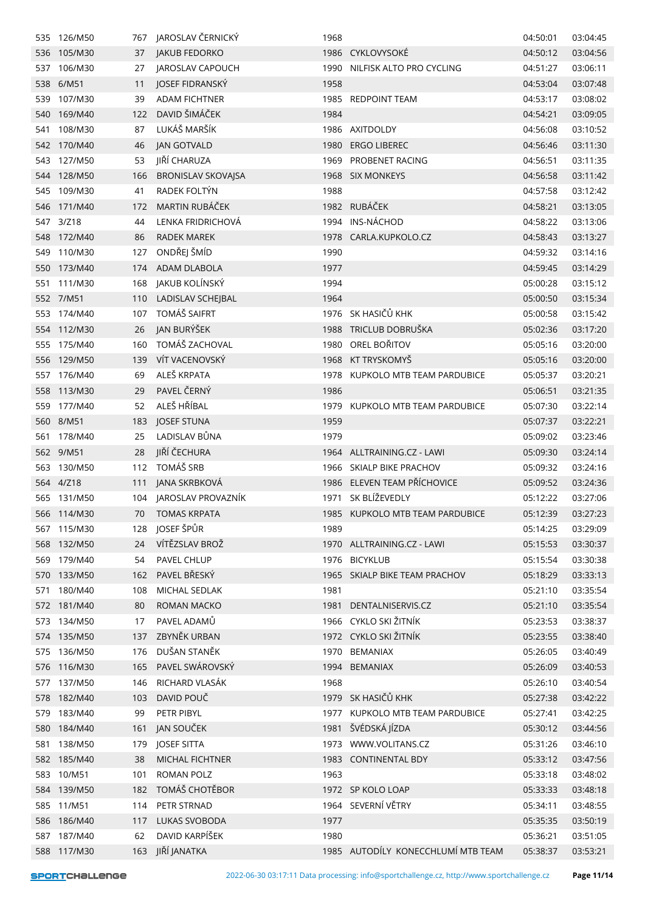|     | 535 126/M50 |     | 767 JAROSLAV ČERNICKÝ     | 1968 |                                    | 04:50:01 | 03:04:45 |
|-----|-------------|-----|---------------------------|------|------------------------------------|----------|----------|
|     | 536 105/M30 | 37  | JAKUB FEDORKO             |      | 1986 CYKLOVYSOKÉ                   | 04:50:12 | 03:04:56 |
| 537 | 106/M30     | 27  | JAROSLAV CAPOUCH          |      | 1990 NILFISK ALTO PRO CYCLING      | 04:51:27 | 03:06:11 |
| 538 | 6/M51       | 11  | JOSEF FIDRANSKÝ           | 1958 |                                    | 04:53:04 | 03:07:48 |
| 539 | 107/M30     | 39  | <b>ADAM FICHTNER</b>      |      | 1985 REDPOINT TEAM                 | 04:53:17 | 03:08:02 |
| 540 | 169/M40     | 122 | DAVID ŠIMÁČEK             | 1984 |                                    | 04:54:21 | 03:09:05 |
| 541 | 108/M30     | 87  | LUKÁŠ MARŠÍK              |      | 1986 AXITDOLDY                     | 04:56:08 | 03:10:52 |
|     | 542 170/M40 | 46  | <b>JAN GOTVALD</b>        | 1980 | <b>ERGO LIBEREC</b>                | 04:56:46 | 03:11:30 |
| 543 | 127/M50     | 53  | JIŘÍ CHARUZA              |      | 1969 PROBENET RACING               | 04:56:51 | 03:11:35 |
| 544 | 128/M50     | 166 | <b>BRONISLAV SKOVAJSA</b> |      | 1968 SIX MONKEYS                   | 04:56:58 | 03:11:42 |
|     | 545 109/M30 | 41  | RADEK FOLTÝN              | 1988 |                                    | 04:57:58 | 03:12:42 |
|     | 546 171/M40 | 172 | MARTIN RUBÁČEK            |      | 1982 RUBÁČEK                       | 04:58:21 | 03:13:05 |
|     | 547 3/Z18   | 44  | LENKA FRIDRICHOVÁ         |      | 1994 INS-NÁCHOD                    | 04:58:22 | 03:13:06 |
| 548 | 172/M40     | 86  | <b>RADEK MAREK</b>        |      | 1978 CARLA.KUPKOLO.CZ              | 04:58:43 | 03:13:27 |
|     | 549 110/M30 | 127 | ONDŘEJ ŠMÍD               | 1990 |                                    | 04:59:32 | 03:14:16 |
|     | 550 173/M40 |     | ADAM DLABOLA              |      |                                    |          |          |
|     |             | 174 |                           | 1977 |                                    | 04:59:45 | 03:14:29 |
|     | 551 111/M30 | 168 | JAKUB KOLÍNSKÝ            | 1994 |                                    | 05:00:28 | 03:15:12 |
|     | 552 7/M51   | 110 | LADISLAV SCHEJBAL         | 1964 |                                    | 05:00:50 | 03:15:34 |
|     | 553 174/M40 | 107 | TOMÁŠ SAIFRT              |      | 1976 SK HASIČŮ KHK                 | 05:00:58 | 03:15:42 |
|     | 554 112/M30 | 26  | JAN BURÝŠEK               |      | 1988 TRICLUB DOBRUŠKA              | 05:02:36 | 03:17:20 |
|     | 555 175/M40 | 160 | TOMÁŠ ZACHOVAL            |      | 1980 OREL BOŘITOV                  | 05:05:16 | 03:20:00 |
| 556 | 129/M50     | 139 | VÍT VACENOVSKÝ            |      | 1968 KT TRYSKOMYŠ                  | 05:05:16 | 03:20:00 |
|     | 557 176/M40 | 69  | ALEŠ KRPATA               |      | 1978 KUPKOLO MTB TEAM PARDUBICE    | 05:05:37 | 03:20:21 |
|     | 558 113/M30 | 29  | PAVEL ČERNÝ               | 1986 |                                    | 05:06:51 | 03:21:35 |
|     | 559 177/M40 | 52  | ALEŠ HŘÍBAL               | 1979 | KUPKOLO MTB TEAM PARDUBICE         | 05:07:30 | 03:22:14 |
|     | 560 8/M51   | 183 | <b>JOSEF STUNA</b>        | 1959 |                                    | 05:07:37 | 03:22:21 |
|     | 561 178/M40 | 25  | LADISLAV BŮNA             | 1979 |                                    | 05:09:02 | 03:23:46 |
|     | 562 9/M51   | 28  | JIŘÍ ČECHURA              |      | 1964 ALLTRAINING.CZ - LAWI         | 05:09:30 | 03:24:14 |
| 563 | 130/M50     | 112 | TOMÁŠ SRB                 |      | 1966 SKIALP BIKE PRACHOV           | 05:09:32 | 03:24:16 |
|     | 564 4/Z18   | 111 | JANA SKRBKOVÁ             |      | 1986 ELEVEN TEAM PŘÍCHOVICE        | 05:09:52 | 03:24:36 |
|     | 565 131/M50 |     | 104 JAROSLAV PROVAZNÍK    |      | 1971 SK BLÍŽEVEDLY                 | 05:12:22 | 03:27:06 |
|     | 566 114/M30 |     | 70 TOMAS KRPATA           |      | 1985 KUPKOLO MTB TEAM PARDUBICE    | 05:12:39 | 03:27:23 |
|     | 567 115/M30 | 128 | JOSEF ŠPŮR                | 1989 |                                    | 05:14:25 | 03:29:09 |
|     | 568 132/M50 | 24  | VÍTĚZSLAV BROŽ            |      | 1970 ALLTRAINING.CZ - LAWI         | 05:15:53 | 03:30:37 |
|     | 569 179/M40 | 54  | PAVEL CHLUP               |      | 1976 BICYKLUB                      | 05:15:54 | 03:30:38 |
| 570 | 133/M50     | 162 | PAVEL BŘESKÝ              |      | 1965 SKIALP BIKE TEAM PRACHOV      | 05:18:29 | 03:33:13 |
| 571 | 180/M40     | 108 | MICHAL SEDLAK             | 1981 |                                    | 05:21:10 | 03:35:54 |
|     | 572 181/M40 | 80  | ROMAN MACKO               |      | 1981 DENTALNISERVIS.CZ             | 05:21:10 | 03:35:54 |
|     | 573 134/M50 | 17  | PAVEL ADAMŮ               |      | 1966 CYKLO SKI ŽITNÍK              | 05:23:53 | 03:38:37 |
|     | 574 135/M50 | 137 | ZBYNĚK URBAN              |      | 1972 CYKLO SKI ŽITNÍK              | 05:23:55 | 03:38:40 |
|     | 575 136/M50 | 176 | DUŠAN STANĚK              |      | 1970 BEMANIAX                      | 05:26:05 | 03:40:49 |
|     | 576 116/M30 | 165 | PAVEL SWÁROVSKÝ           |      | 1994 BEMANIAX                      | 05:26:09 | 03:40:53 |
|     | 577 137/M50 | 146 | RICHARD VLASÁK            | 1968 |                                    | 05:26:10 | 03:40:54 |
| 578 | 182/M40     | 103 | DAVID POUČ                |      | 1979 SK HASIČŮ KHK                 | 05:27:38 | 03:42:22 |
|     | 579 183/M40 | 99  | PETR PIBYL                |      | 1977 KUPKOLO MTB TEAM PARDUBICE    | 05:27:41 | 03:42:25 |
|     | 580 184/M40 | 161 | JAN SOUČEK                |      | 1981 ŠVÉDSKÁ JÍZDA                 | 05:30:12 | 03:44:56 |
|     | 581 138/M50 | 179 | <b>JOSEF SITTA</b>        |      | 1973 WWW.VOLITANS.CZ               | 05:31:26 | 03:46:10 |
|     | 582 185/M40 | 38  | MICHAL FICHTNER           |      | 1983 CONTINENTAL BDY               | 05:33:12 | 03:47:56 |
|     | 583 10/M51  | 101 | <b>ROMAN POLZ</b>         | 1963 |                                    | 05:33:18 | 03:48:02 |
| 584 | 139/M50     | 182 | TOMÁŠ CHOTĚBOR            |      | 1972 SP KOLO LOAP                  | 05:33:33 | 03:48:18 |
| 585 | 11/M51      | 114 | PETR STRNAD               |      | 1964 SEVERNÍ VĚTRY                 | 05:34:11 | 03:48:55 |
|     | 586 186/M40 | 117 | <b>LUKAS SVOBODA</b>      | 1977 |                                    | 05:35:35 | 03:50:19 |
|     | 587 187/M40 | 62  | DAVID KARPÍŠEK            | 1980 |                                    | 05:36:21 | 03:51:05 |
|     | 588 117/M30 | 163 | JIŘÍ JANATKA              |      | 1985 AUTODÍLY KONECCHLUMÍ MTB TEAM | 05:38:37 | 03:53:21 |
|     |             |     |                           |      |                                    |          |          |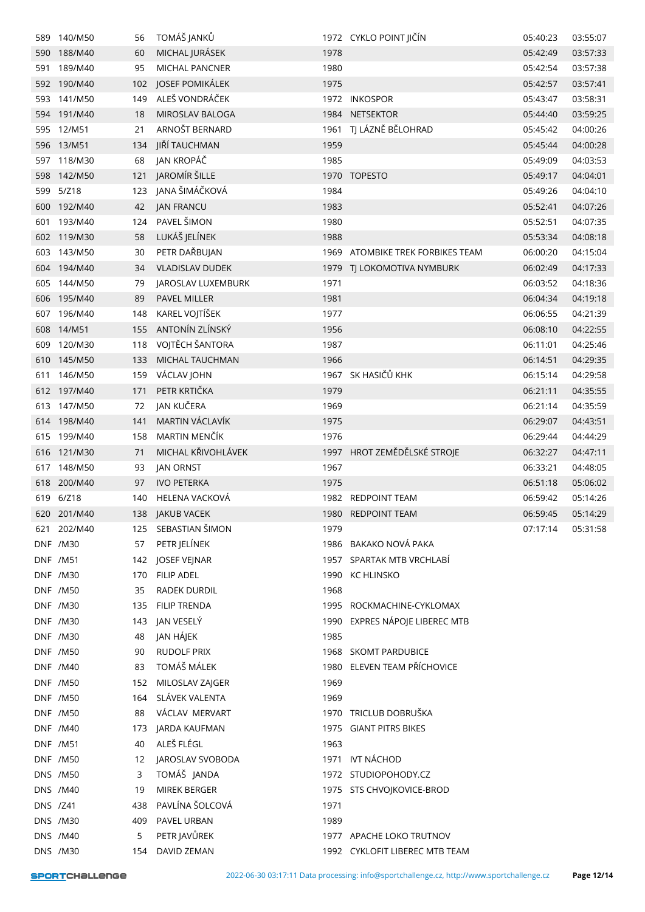|          | 589 140/M50     | 56  | TOMÁŠ JANKŮ                 |      | 1972 CYKLO POINT JIČÍN           | 05:40:23 | 03:55:07 |
|----------|-----------------|-----|-----------------------------|------|----------------------------------|----------|----------|
| 590      | 188/M40         | 60  | MICHAL JURÁSEK              | 1978 |                                  | 05:42:49 | 03:57:33 |
| 591      | 189/M40         | 95  | MICHAL PANCNER              | 1980 |                                  | 05:42:54 | 03:57:38 |
| 592      | 190/M40         | 102 | JOSEF POMIKÁLEK             | 1975 |                                  | 05:42:57 | 03:57:41 |
| 593      | 141/M50         | 149 | ALEŠ VONDRÁČEK              |      | 1972 INKOSPOR                    | 05:43:47 | 03:58:31 |
|          | 594 191/M40     | 18  | MIROSLAV BALOGA             |      | 1984 NETSEKTOR                   | 05:44:40 | 03:59:25 |
| 595      | 12/M51          | 21  | ARNOŠT BERNARD              | 1961 | TJ LÁZNĚ BĚLOHRAD                | 05:45:42 | 04:00:26 |
| 596      | 13/M51          | 134 | JIŘÍ TAUCHMAN               | 1959 |                                  | 05:45:44 | 04:00:28 |
|          | 597 118/M30     | 68  | JAN KROPÁČ                  | 1985 |                                  | 05:49:09 | 04:03:53 |
|          | 598 142/M50     | 121 | JAROMÍR ŠILLE               |      | 1970 TOPESTO                     | 05:49:17 | 04:04:01 |
|          | 599 5/Z18       | 123 | JANA ŠIMÁČKOVÁ              | 1984 |                                  | 05:49:26 | 04:04:10 |
| 600      | 192/M40         | 42  | <b>JAN FRANCU</b>           | 1983 |                                  | 05:52:41 | 04:07:26 |
|          | 601 193/M40     | 124 | PAVEL ŠIMON                 | 1980 |                                  | 05:52:51 | 04:07:35 |
|          | 602 119/M30     | 58  | LUKÁŠ JELÍNEK               | 1988 |                                  | 05:53:34 | 04:08:18 |
| 603      | 143/M50         | 30  | PETR DAŘBUJAN               |      | 1969 ATOMBIKE TREK FORBIKES TEAM | 06:00:20 | 04:15:04 |
|          | 604 194/M40     | 34  | <b>VLADISLAV DUDEK</b>      |      | 1979 TJ LOKOMOTIVA NYMBURK       | 06:02:49 | 04:17:33 |
| 605      | 144/M50         | 79  | JAROSLAV LUXEMBURK          | 1971 |                                  | 06:03:52 | 04:18:36 |
| 606      | 195/M40         | 89  | <b>PAVEL MILLER</b>         | 1981 |                                  | 06:04:34 | 04:19:18 |
|          | 607 196/M40     | 148 | KAREL VOJTÍŠEK              | 1977 |                                  | 06:06:55 | 04:21:39 |
| 608      | 14/M51          | 155 | ANTONÍN ZLÍNSKÝ             | 1956 |                                  | 06:08:10 | 04:22:55 |
|          | 120/M30         | 118 | VOJTĚCH ŠANTORA             | 1987 |                                  | 06:11:01 | 04:25:46 |
| 609      |                 |     | MICHAL TAUCHMAN             |      |                                  |          |          |
| 610      | 145/M50         | 133 |                             | 1966 | 1967 SK HASIČŮ KHK               | 06:14:51 | 04:29:35 |
| 611      | 146/M50         | 159 | VÁCLAV JOHN<br>PETR KRTIČKA |      |                                  | 06:15:14 | 04:29:58 |
|          | 612 197/M40     | 171 |                             | 1979 |                                  | 06:21:11 | 04:35:55 |
|          | 613 147/M50     | 72  | JAN KUČERA                  | 1969 |                                  | 06:21:14 | 04:35:59 |
|          | 614 198/M40     | 141 | MARTIN VÁCLAVÍK             | 1975 |                                  | 06:29:07 | 04:43:51 |
|          | 615 199/M40     | 158 | MARTIN MENČÍK               | 1976 |                                  | 06:29:44 | 04:44:29 |
|          | 616 121/M30     | 71  | MICHAL KŘIVOHLÁVEK          |      | 1997 HROT ZEMĚDĚLSKÉ STROJE      | 06:32:27 | 04:47:11 |
| 617      | 148/M50         | 93  | <b>JAN ORNST</b>            | 1967 |                                  | 06:33:21 | 04:48:05 |
|          | 618 200/M40     | 97  | <b>IVO PETERKA</b>          | 1975 |                                  | 06:51:18 | 05:06:02 |
|          | 619 6/Z18       | 140 | HELENA VACKOVÁ              |      | 1982 REDPOINT TEAM               | 06:59:42 | 05:14:26 |
|          | 620 201/M40     |     | 138 JAKUB VACEK             |      | 1980 REDPOINT TEAM               | 06:59:45 | 05:14:29 |
|          | 621 202/M40     |     | 125 SEBASTIAN ŠIMON         | 1979 |                                  | 07:17:14 | 05:31:58 |
|          | DNF /M30        | 57  | PETR JELÍNEK                |      | 1986 BAKAKO NOVÁ PAKA            |          |          |
|          | <b>DNF /M51</b> |     | 142 JOSEF VEJNAR            |      | 1957 SPARTAK MTB VRCHLABÍ        |          |          |
|          | <b>DNF /M30</b> | 170 | <b>FILIP ADEL</b>           |      | 1990 KC HLINSKO                  |          |          |
|          | <b>DNF /M50</b> | 35  | <b>RADEK DURDIL</b>         | 1968 |                                  |          |          |
|          | <b>DNF /M30</b> | 135 | FILIP TRENDA                |      | 1995 ROCKMACHINE-CYKLOMAX        |          |          |
|          | <b>DNF /M30</b> | 143 | JAN VESELÝ                  |      | 1990 EXPRES NÁPOJE LIBEREC MTB   |          |          |
|          | <b>DNF /M30</b> | 48  | JAN HÁJEK                   | 1985 |                                  |          |          |
|          | <b>DNF /M50</b> | 90  | <b>RUDOLF PRIX</b>          |      | 1968 SKOMT PARDUBICE             |          |          |
|          | DNF /M40        | 83  | TOMÁŠ MÁLEK                 |      | 1980 ELEVEN TEAM PŘÍCHOVICE      |          |          |
|          | <b>DNF /M50</b> | 152 | MILOSLAV ZAJGER             | 1969 |                                  |          |          |
|          | <b>DNF /M50</b> | 164 | SLÁVEK VALENTA              | 1969 |                                  |          |          |
|          | <b>DNF /M50</b> | 88  | VÁCLAV MERVART              |      | 1970 TRICLUB DOBRUŠKA            |          |          |
|          | DNF /M40        | 173 | JARDA KAUFMAN               |      | 1975 GIANT PITRS BIKES           |          |          |
|          | <b>DNF /M51</b> | 40  | ALEŠ FLÉGL                  | 1963 |                                  |          |          |
|          | <b>DNF /M50</b> | 12  | JAROSLAV SVOBODA            |      | 1971 IVT NÁCHOD                  |          |          |
|          | <b>DNS /M50</b> | 3   | TOMÁŠ JANDA                 |      | 1972 STUDIOPOHODY.CZ             |          |          |
|          | <b>DNS /M40</b> | 19  | MIREK BERGER                |      | 1975 STS CHVOJKOVICE-BROD        |          |          |
| DNS /Z41 |                 | 438 | PAVLÍNA ŠOLCOVÁ             | 1971 |                                  |          |          |
|          | <b>DNS /M30</b> | 409 | PAVEL URBAN                 | 1989 |                                  |          |          |
|          | DNS /M40        | 5   | PETR JAVŮREK                |      | 1977 APACHE LOKO TRUTNOV         |          |          |
|          | DNS /M30        |     | 154 DAVID ZEMAN             |      | 1992 CYKLOFIT LIBEREC MTB TEAM   |          |          |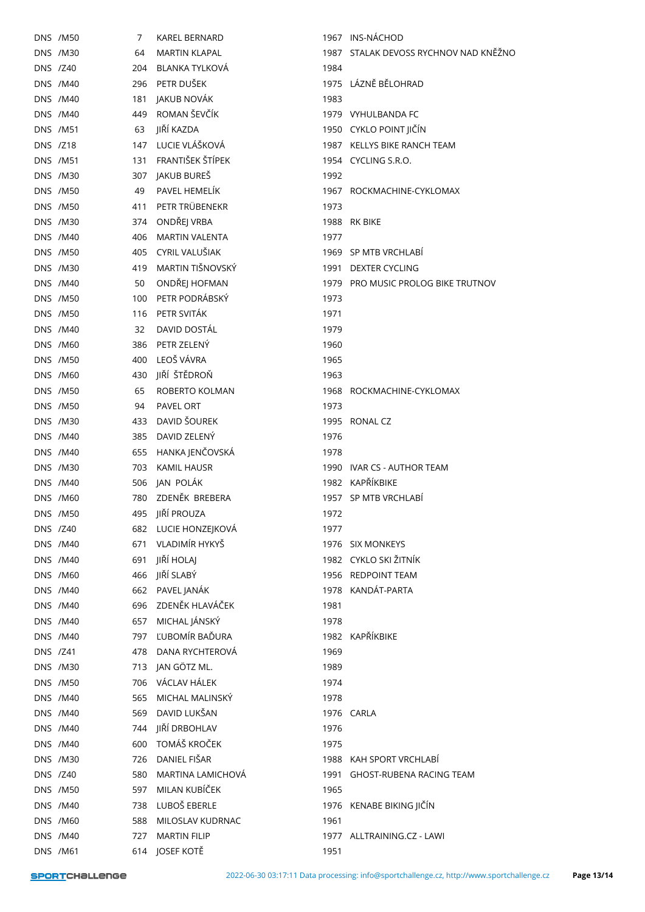|          | <b>DNS /M50</b>                    | 7   | <b>KAREL BERNARD</b>                   |      | 1967 INS-NÁCHOD                               |
|----------|------------------------------------|-----|----------------------------------------|------|-----------------------------------------------|
|          | <b>DNS /M30</b>                    | 64  | <b>MARTIN KLAPAL</b>                   |      | 1987 STALAK DEVOSS RYCHNOV NAD KNĚŽNO         |
| DNS /Z40 |                                    | 204 | BLANKA TYLKOVÁ                         | 1984 |                                               |
|          | <b>DNS /M40</b>                    |     | 296 PETR DUŠEK                         |      | 1975 LÁZNĚ BĚLOHRAD                           |
|          | <b>DNS /M40</b>                    | 181 | JAKUB NOVÁK                            | 1983 |                                               |
|          | <b>DNS /M40</b>                    |     | 449 ROMAN ŠEVČÍK                       |      | 1979 VYHULBANDA FC                            |
|          | <b>DNS /M51</b>                    | 63  | JIŘÍ KAZDA                             |      | 1950 CYKLO POINT JIČÍN                        |
| DNS /Z18 |                                    |     | 147 LUCIE VLÁŠKOVÁ                     |      | 1987 KELLYS BIKE RANCH TEAM                   |
|          | <b>DNS /M51</b>                    | 131 | FRANTIŠEK ŠTÍPEK                       |      | 1954 CYCLING S.R.O.                           |
|          | <b>DNS /M30</b>                    |     | 307 JAKUB BUREŠ                        | 1992 |                                               |
|          | <b>DNS /M50</b>                    | 49  | PAVEL HEMELÍK                          |      | 1967 ROCKMACHINE-CYKLOMAX                     |
|          | <b>DNS /M50</b>                    | 411 | PETR TRÜBENEKR                         | 1973 |                                               |
|          | DNS /M30                           |     | 374 ONDŘEJ VRBA                        |      | 1988 RK BIKE                                  |
|          | <b>DNS /M40</b>                    |     | 406 MARTIN VALENTA                     | 1977 |                                               |
|          | <b>DNS /M50</b>                    | 405 | CYRIL VALUŠIAK                         |      | 1969 SP MTB VRCHLABÍ                          |
|          | <b>DNS /M30</b>                    | 419 | MARTIN TIŠNOVSKÝ                       |      | 1991 DEXTER CYCLING                           |
|          | <b>DNS /M40</b>                    | 50  | ONDŘEJ HOFMAN                          |      | 1979 PRO MUSIC PROLOG BIKE TRUTNOV            |
|          | <b>DNS /M50</b>                    | 100 | PETR PODRÁBSKÝ                         | 1973 |                                               |
|          | <b>DNS /M50</b>                    |     | 116 PETR SVITÁK                        | 1971 |                                               |
|          | <b>DNS /M40</b>                    | 32  | DAVID DOSTÁL                           | 1979 |                                               |
|          | <b>DNS /M60</b>                    | 386 | PETR ZELENÝ                            | 1960 |                                               |
|          | <b>DNS /M50</b>                    |     | 400 LEOŠ VÁVRA                         | 1965 |                                               |
|          | <b>DNS /M60</b>                    | 430 | JIŘÍ ŠTĚDROŇ                           | 1963 |                                               |
|          | <b>DNS /M50</b>                    | 65  | ROBERTO KOLMAN                         |      | 1968 ROCKMACHINE-CYKLOMAX                     |
|          | <b>DNS /M50</b>                    | 94  | PAVEL ORT                              | 1973 |                                               |
|          | <b>DNS /M30</b>                    | 433 | DAVID ŠOUREK                           | 1995 | RONAL CZ                                      |
|          | <b>DNS /M40</b>                    | 385 | DAVID ZELENÝ                           | 1976 |                                               |
|          |                                    |     | HANKA JENČOVSKÁ                        |      |                                               |
|          | <b>DNS /M40</b>                    | 655 |                                        | 1978 |                                               |
|          | <b>DNS /M30</b>                    | 703 | <b>KAMIL HAUSR</b><br>506 JAN POLÁK    |      | 1990 IVAR CS - AUTHOR TEAM<br>1982 KAPŘÍKBIKE |
|          | <b>DNS /M40</b><br><b>DNS /M60</b> |     | 780 ZDENĚK BREBERA                     |      | 1957 SP MTB VRCHLABÍ                          |
|          |                                    |     |                                        |      |                                               |
|          | <b>DNS /M50</b>                    | 495 | JIŘÍ PROUZA                            | 1972 |                                               |
|          | DNS /Z40                           |     | 682 LUCIE HONZEJKOVÁ<br>VLADIMÍR HYKYŠ | 1977 |                                               |
|          | <b>DNS /M40</b>                    | 671 | JIŘÍ HOLAJ                             |      | 1976 SIX MONKEYS<br>1982 CYKLO SKI ŽITNÍK     |
|          | <b>DNS /M40</b>                    | 691 | 466 JIŘÍ SLABÝ                         |      | 1956 REDPOINT TEAM                            |
|          | DNS /M60                           |     |                                        |      |                                               |
|          | <b>DNS /M40</b>                    |     | 662 PAVEL JANÁK                        |      | 1978 KANDÁT-PARTA                             |
|          | <b>DNS /M40</b>                    |     | 696 ZDENĚK HLAVÁČEK                    | 1981 |                                               |
|          | <b>DNS /M40</b>                    | 657 | MICHAL JÁNSKÝ                          | 1978 |                                               |
|          | <b>DNS /M40</b>                    | 797 | ĽUBOMÍR BAĎURA                         |      | 1982 KAPŘÍKBIKE                               |
| DNS /Z41 |                                    | 478 | DANA RYCHTEROVÁ                        | 1969 |                                               |
|          | <b>DNS /M30</b>                    | 713 | JAN GÖTZ ML.                           | 1989 |                                               |
|          | <b>DNS /M50</b>                    |     | 706 VÁCLAV HÁLEK                       | 1974 |                                               |
|          | <b>DNS /M40</b>                    | 565 | MICHAL MALINSKÝ                        | 1978 |                                               |
|          | DNS /M40                           | 569 | DAVID LUKŠAN                           |      | 1976 CARLA                                    |
|          | <b>DNS /M40</b>                    | 744 | JIŘÍ DRBOHLAV<br>600 TOMÁŠ KROČEK      | 1976 |                                               |
|          | <b>DNS /M40</b>                    |     |                                        | 1975 |                                               |
|          | <b>DNS /M30</b>                    | 726 | DANIEL FIŠAR                           |      | 1988 KAH SPORT VRCHLABI                       |
| DNS /Z40 |                                    | 580 | MARTINA LAMICHOVÁ                      | 1991 | GHOST-RUBENA RACING TEAM                      |
|          | <b>DNS /M50</b>                    | 597 | MILAN KUBÍČEK                          | 1965 |                                               |
|          | <b>DNS /M40</b>                    | 738 | LUBOŠ EBERLE                           |      | 1976 KENABE BIKING JIČÍN                      |
|          | DNS /M60                           | 588 | MILOSLAV KUDRNAC                       | 1961 |                                               |
|          | <b>DNS /M40</b>                    | 727 | <b>MARTIN FILIP</b>                    |      | 1977 ALLTRAINING.CZ - LAWI                    |
|          | DNS / M61                          |     | 614 JOSEF KOTĚ                         | 1951 |                                               |